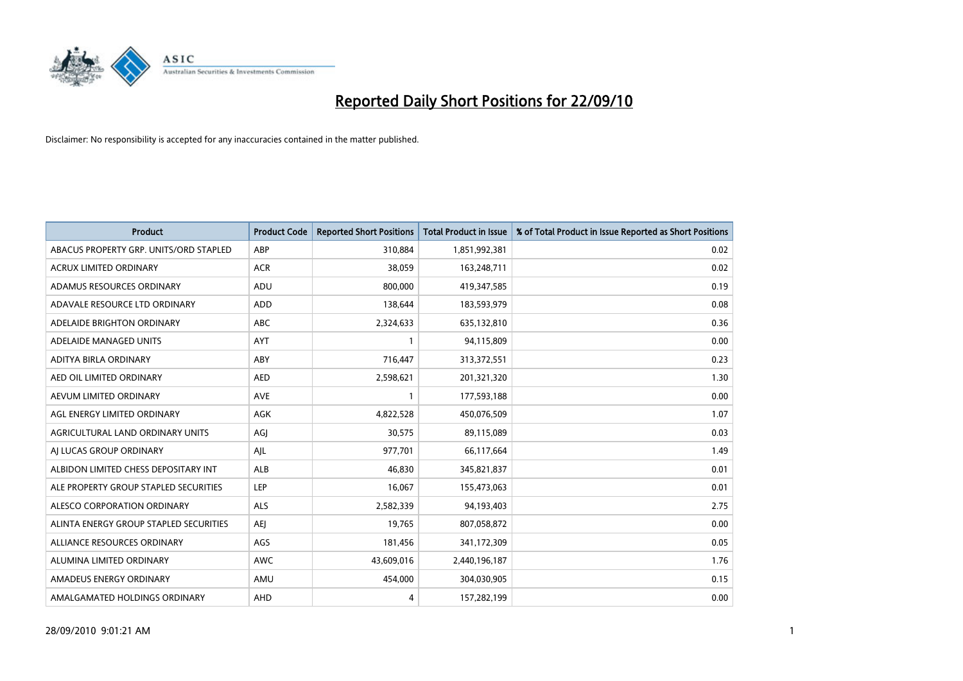

| <b>Product</b>                         | <b>Product Code</b> | <b>Reported Short Positions</b> | <b>Total Product in Issue</b> | % of Total Product in Issue Reported as Short Positions |
|----------------------------------------|---------------------|---------------------------------|-------------------------------|---------------------------------------------------------|
| ABACUS PROPERTY GRP. UNITS/ORD STAPLED | ABP                 | 310,884                         | 1,851,992,381                 | 0.02                                                    |
| ACRUX LIMITED ORDINARY                 | <b>ACR</b>          | 38,059                          | 163,248,711                   | 0.02                                                    |
| ADAMUS RESOURCES ORDINARY              | <b>ADU</b>          | 800.000                         | 419,347,585                   | 0.19                                                    |
| ADAVALE RESOURCE LTD ORDINARY          | ADD                 | 138,644                         | 183,593,979                   | 0.08                                                    |
| ADELAIDE BRIGHTON ORDINARY             | <b>ABC</b>          | 2,324,633                       | 635,132,810                   | 0.36                                                    |
| ADELAIDE MANAGED UNITS                 | AYT                 |                                 | 94,115,809                    | 0.00                                                    |
| ADITYA BIRLA ORDINARY                  | ABY                 | 716,447                         | 313,372,551                   | 0.23                                                    |
| AED OIL LIMITED ORDINARY               | <b>AED</b>          | 2,598,621                       | 201,321,320                   | 1.30                                                    |
| AEVUM LIMITED ORDINARY                 | <b>AVE</b>          |                                 | 177,593,188                   | 0.00                                                    |
| AGL ENERGY LIMITED ORDINARY            | <b>AGK</b>          | 4,822,528                       | 450,076,509                   | 1.07                                                    |
| AGRICULTURAL LAND ORDINARY UNITS       | AGJ                 | 30,575                          | 89,115,089                    | 0.03                                                    |
| AI LUCAS GROUP ORDINARY                | AJL                 | 977,701                         | 66,117,664                    | 1.49                                                    |
| ALBIDON LIMITED CHESS DEPOSITARY INT   | <b>ALB</b>          | 46.830                          | 345,821,837                   | 0.01                                                    |
| ALE PROPERTY GROUP STAPLED SECURITIES  | LEP                 | 16,067                          | 155,473,063                   | 0.01                                                    |
| ALESCO CORPORATION ORDINARY            | <b>ALS</b>          | 2,582,339                       | 94,193,403                    | 2.75                                                    |
| ALINTA ENERGY GROUP STAPLED SECURITIES | <b>AEI</b>          | 19,765                          | 807,058,872                   | 0.00                                                    |
| ALLIANCE RESOURCES ORDINARY            | AGS                 | 181,456                         | 341,172,309                   | 0.05                                                    |
| ALUMINA LIMITED ORDINARY               | <b>AWC</b>          | 43,609,016                      | 2,440,196,187                 | 1.76                                                    |
| AMADEUS ENERGY ORDINARY                | AMU                 | 454,000                         | 304,030,905                   | 0.15                                                    |
| AMALGAMATED HOLDINGS ORDINARY          | AHD                 | 4                               | 157,282,199                   | 0.00                                                    |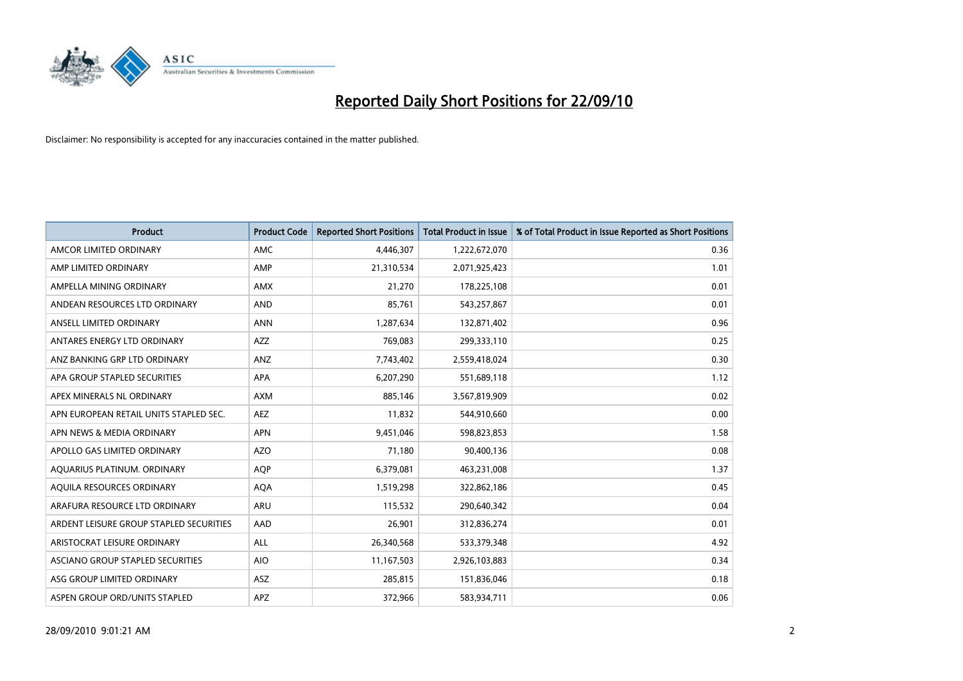

| <b>Product</b>                          | <b>Product Code</b> | <b>Reported Short Positions</b> | <b>Total Product in Issue</b> | % of Total Product in Issue Reported as Short Positions |
|-----------------------------------------|---------------------|---------------------------------|-------------------------------|---------------------------------------------------------|
| AMCOR LIMITED ORDINARY                  | AMC                 | 4,446,307                       | 1,222,672,070                 | 0.36                                                    |
| AMP LIMITED ORDINARY                    | AMP                 | 21,310,534                      | 2,071,925,423                 | 1.01                                                    |
| AMPELLA MINING ORDINARY                 | <b>AMX</b>          | 21,270                          | 178,225,108                   | 0.01                                                    |
| ANDEAN RESOURCES LTD ORDINARY           | <b>AND</b>          | 85,761                          | 543,257,867                   | 0.01                                                    |
| ANSELL LIMITED ORDINARY                 | <b>ANN</b>          | 1,287,634                       | 132,871,402                   | 0.96                                                    |
| ANTARES ENERGY LTD ORDINARY             | <b>AZZ</b>          | 769,083                         | 299,333,110                   | 0.25                                                    |
| ANZ BANKING GRP LTD ORDINARY            | <b>ANZ</b>          | 7,743,402                       | 2,559,418,024                 | 0.30                                                    |
| APA GROUP STAPLED SECURITIES            | <b>APA</b>          | 6,207,290                       | 551,689,118                   | 1.12                                                    |
| APEX MINERALS NL ORDINARY               | <b>AXM</b>          | 885,146                         | 3,567,819,909                 | 0.02                                                    |
| APN EUROPEAN RETAIL UNITS STAPLED SEC.  | <b>AEZ</b>          | 11,832                          | 544,910,660                   | 0.00                                                    |
| APN NEWS & MEDIA ORDINARY               | <b>APN</b>          | 9,451,046                       | 598,823,853                   | 1.58                                                    |
| APOLLO GAS LIMITED ORDINARY             | <b>AZO</b>          | 71,180                          | 90,400,136                    | 0.08                                                    |
| AQUARIUS PLATINUM. ORDINARY             | <b>AOP</b>          | 6,379,081                       | 463,231,008                   | 1.37                                                    |
| AOUILA RESOURCES ORDINARY               | <b>AQA</b>          | 1,519,298                       | 322,862,186                   | 0.45                                                    |
| ARAFURA RESOURCE LTD ORDINARY           | ARU                 | 115,532                         | 290,640,342                   | 0.04                                                    |
| ARDENT LEISURE GROUP STAPLED SECURITIES | AAD                 | 26,901                          | 312,836,274                   | 0.01                                                    |
| ARISTOCRAT LEISURE ORDINARY             | <b>ALL</b>          | 26,340,568                      | 533,379,348                   | 4.92                                                    |
| ASCIANO GROUP STAPLED SECURITIES        | <b>AIO</b>          | 11,167,503                      | 2,926,103,883                 | 0.34                                                    |
| ASG GROUP LIMITED ORDINARY              | <b>ASZ</b>          | 285,815                         | 151,836,046                   | 0.18                                                    |
| ASPEN GROUP ORD/UNITS STAPLED           | APZ                 | 372,966                         | 583,934,711                   | 0.06                                                    |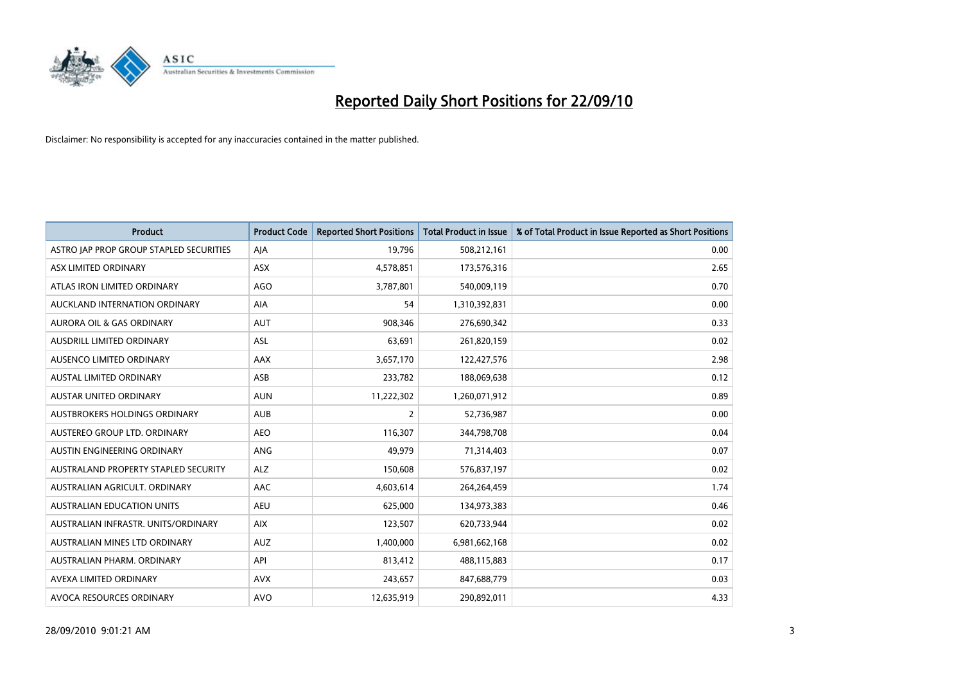

| <b>Product</b>                          | <b>Product Code</b> | <b>Reported Short Positions</b> | <b>Total Product in Issue</b> | % of Total Product in Issue Reported as Short Positions |
|-----------------------------------------|---------------------|---------------------------------|-------------------------------|---------------------------------------------------------|
| ASTRO JAP PROP GROUP STAPLED SECURITIES | AJA                 | 19,796                          | 508,212,161                   | 0.00                                                    |
| ASX LIMITED ORDINARY                    | <b>ASX</b>          | 4,578,851                       | 173,576,316                   | 2.65                                                    |
| ATLAS IRON LIMITED ORDINARY             | <b>AGO</b>          | 3,787,801                       | 540,009,119                   | 0.70                                                    |
| AUCKLAND INTERNATION ORDINARY           | AIA                 | 54                              | 1,310,392,831                 | 0.00                                                    |
| <b>AURORA OIL &amp; GAS ORDINARY</b>    | <b>AUT</b>          | 908,346                         | 276,690,342                   | 0.33                                                    |
| AUSDRILL LIMITED ORDINARY               | <b>ASL</b>          | 63,691                          | 261,820,159                   | 0.02                                                    |
| AUSENCO LIMITED ORDINARY                | <b>AAX</b>          | 3,657,170                       | 122,427,576                   | 2.98                                                    |
| AUSTAL LIMITED ORDINARY                 | ASB                 | 233,782                         | 188,069,638                   | 0.12                                                    |
| <b>AUSTAR UNITED ORDINARY</b>           | <b>AUN</b>          | 11,222,302                      | 1,260,071,912                 | 0.89                                                    |
| <b>AUSTBROKERS HOLDINGS ORDINARY</b>    | <b>AUB</b>          | 2                               | 52,736,987                    | 0.00                                                    |
| AUSTEREO GROUP LTD. ORDINARY            | <b>AEO</b>          | 116,307                         | 344,798,708                   | 0.04                                                    |
| AUSTIN ENGINEERING ORDINARY             | ANG                 | 49,979                          | 71,314,403                    | 0.07                                                    |
| AUSTRALAND PROPERTY STAPLED SECURITY    | <b>ALZ</b>          | 150,608                         | 576,837,197                   | 0.02                                                    |
| AUSTRALIAN AGRICULT. ORDINARY           | AAC                 | 4,603,614                       | 264,264,459                   | 1.74                                                    |
| <b>AUSTRALIAN EDUCATION UNITS</b>       | <b>AEU</b>          | 625,000                         | 134,973,383                   | 0.46                                                    |
| AUSTRALIAN INFRASTR, UNITS/ORDINARY     | <b>AIX</b>          | 123,507                         | 620,733,944                   | 0.02                                                    |
| AUSTRALIAN MINES LTD ORDINARY           | <b>AUZ</b>          | 1,400,000                       | 6,981,662,168                 | 0.02                                                    |
| AUSTRALIAN PHARM. ORDINARY              | API                 | 813,412                         | 488,115,883                   | 0.17                                                    |
| AVEXA LIMITED ORDINARY                  | <b>AVX</b>          | 243,657                         | 847,688,779                   | 0.03                                                    |
| AVOCA RESOURCES ORDINARY                | <b>AVO</b>          | 12,635,919                      | 290,892,011                   | 4.33                                                    |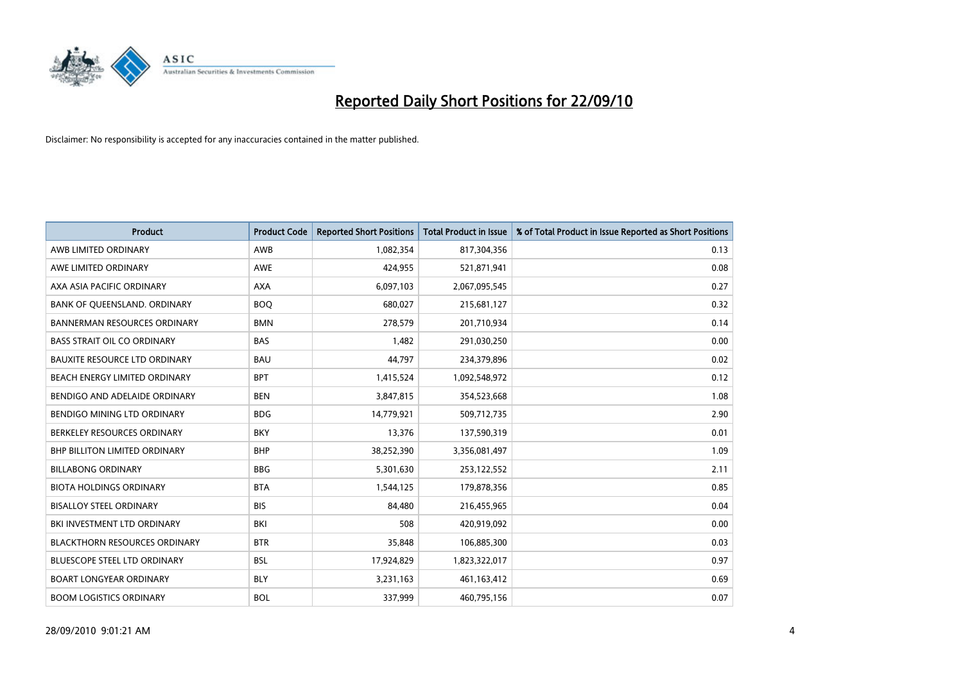

| <b>Product</b>                       | <b>Product Code</b> | <b>Reported Short Positions</b> | <b>Total Product in Issue</b> | % of Total Product in Issue Reported as Short Positions |
|--------------------------------------|---------------------|---------------------------------|-------------------------------|---------------------------------------------------------|
| AWB LIMITED ORDINARY                 | AWB                 | 1,082,354                       | 817,304,356                   | 0.13                                                    |
| AWE LIMITED ORDINARY                 | <b>AWE</b>          | 424,955                         | 521,871,941                   | 0.08                                                    |
| AXA ASIA PACIFIC ORDINARY            | <b>AXA</b>          | 6,097,103                       | 2,067,095,545                 | 0.27                                                    |
| BANK OF QUEENSLAND. ORDINARY         | <b>BOO</b>          | 680,027                         | 215,681,127                   | 0.32                                                    |
| <b>BANNERMAN RESOURCES ORDINARY</b>  | <b>BMN</b>          | 278,579                         | 201,710,934                   | 0.14                                                    |
| <b>BASS STRAIT OIL CO ORDINARY</b>   | <b>BAS</b>          | 1,482                           | 291,030,250                   | 0.00                                                    |
| <b>BAUXITE RESOURCE LTD ORDINARY</b> | <b>BAU</b>          | 44,797                          | 234,379,896                   | 0.02                                                    |
| BEACH ENERGY LIMITED ORDINARY        | <b>BPT</b>          | 1,415,524                       | 1,092,548,972                 | 0.12                                                    |
| BENDIGO AND ADELAIDE ORDINARY        | <b>BEN</b>          | 3,847,815                       | 354,523,668                   | 1.08                                                    |
| BENDIGO MINING LTD ORDINARY          | <b>BDG</b>          | 14,779,921                      | 509,712,735                   | 2.90                                                    |
| BERKELEY RESOURCES ORDINARY          | <b>BKY</b>          | 13,376                          | 137,590,319                   | 0.01                                                    |
| <b>BHP BILLITON LIMITED ORDINARY</b> | <b>BHP</b>          | 38,252,390                      | 3,356,081,497                 | 1.09                                                    |
| <b>BILLABONG ORDINARY</b>            | <b>BBG</b>          | 5,301,630                       | 253,122,552                   | 2.11                                                    |
| <b>BIOTA HOLDINGS ORDINARY</b>       | <b>BTA</b>          | 1,544,125                       | 179,878,356                   | 0.85                                                    |
| <b>BISALLOY STEEL ORDINARY</b>       | <b>BIS</b>          | 84,480                          | 216,455,965                   | 0.04                                                    |
| BKI INVESTMENT LTD ORDINARY          | BKI                 | 508                             | 420,919,092                   | 0.00                                                    |
| <b>BLACKTHORN RESOURCES ORDINARY</b> | <b>BTR</b>          | 35,848                          | 106,885,300                   | 0.03                                                    |
| BLUESCOPE STEEL LTD ORDINARY         | <b>BSL</b>          | 17,924,829                      | 1,823,322,017                 | 0.97                                                    |
| <b>BOART LONGYEAR ORDINARY</b>       | <b>BLY</b>          | 3,231,163                       | 461,163,412                   | 0.69                                                    |
| <b>BOOM LOGISTICS ORDINARY</b>       | <b>BOL</b>          | 337,999                         | 460,795,156                   | 0.07                                                    |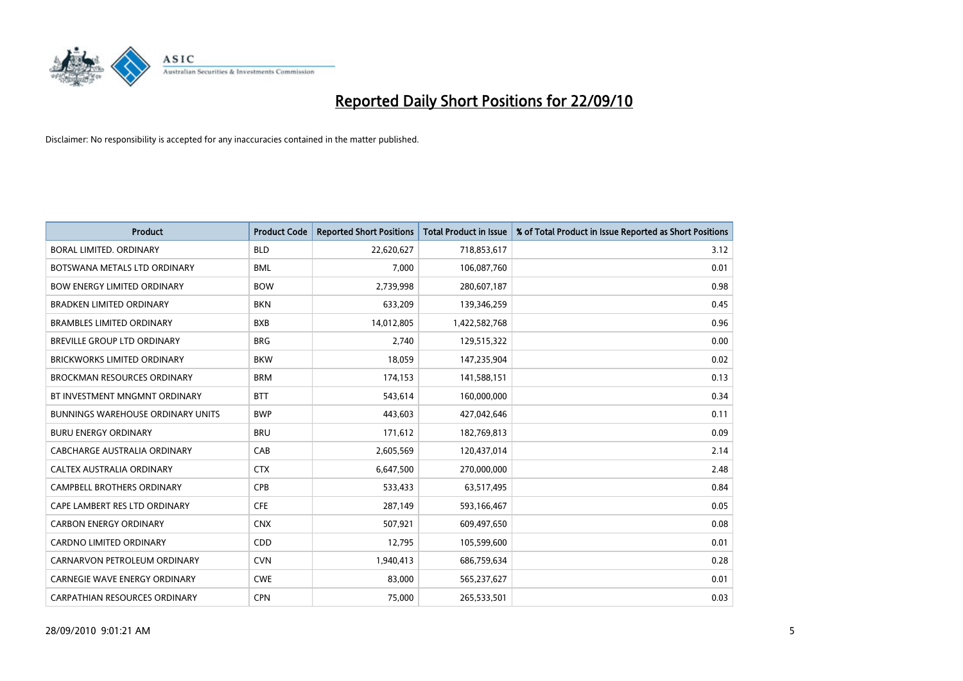

| <b>Product</b>                           | <b>Product Code</b> | <b>Reported Short Positions</b> | <b>Total Product in Issue</b> | % of Total Product in Issue Reported as Short Positions |
|------------------------------------------|---------------------|---------------------------------|-------------------------------|---------------------------------------------------------|
| <b>BORAL LIMITED, ORDINARY</b>           | <b>BLD</b>          | 22,620,627                      | 718,853,617                   | 3.12                                                    |
| BOTSWANA METALS LTD ORDINARY             | <b>BML</b>          | 7.000                           | 106,087,760                   | 0.01                                                    |
| <b>BOW ENERGY LIMITED ORDINARY</b>       | <b>BOW</b>          | 2,739,998                       | 280,607,187                   | 0.98                                                    |
| <b>BRADKEN LIMITED ORDINARY</b>          | <b>BKN</b>          | 633,209                         | 139,346,259                   | 0.45                                                    |
| <b>BRAMBLES LIMITED ORDINARY</b>         | <b>BXB</b>          | 14,012,805                      | 1,422,582,768                 | 0.96                                                    |
| <b>BREVILLE GROUP LTD ORDINARY</b>       | <b>BRG</b>          | 2,740                           | 129,515,322                   | 0.00                                                    |
| <b>BRICKWORKS LIMITED ORDINARY</b>       | <b>BKW</b>          | 18.059                          | 147,235,904                   | 0.02                                                    |
| <b>BROCKMAN RESOURCES ORDINARY</b>       | <b>BRM</b>          | 174,153                         | 141,588,151                   | 0.13                                                    |
| BT INVESTMENT MNGMNT ORDINARY            | <b>BTT</b>          | 543,614                         | 160,000,000                   | 0.34                                                    |
| <b>BUNNINGS WAREHOUSE ORDINARY UNITS</b> | <b>BWP</b>          | 443,603                         | 427,042,646                   | 0.11                                                    |
| <b>BURU ENERGY ORDINARY</b>              | <b>BRU</b>          | 171,612                         | 182,769,813                   | 0.09                                                    |
| CABCHARGE AUSTRALIA ORDINARY             | CAB                 | 2,605,569                       | 120,437,014                   | 2.14                                                    |
| CALTEX AUSTRALIA ORDINARY                | <b>CTX</b>          | 6,647,500                       | 270,000,000                   | 2.48                                                    |
| <b>CAMPBELL BROTHERS ORDINARY</b>        | CPB                 | 533,433                         | 63,517,495                    | 0.84                                                    |
| CAPE LAMBERT RES LTD ORDINARY            | <b>CFE</b>          | 287,149                         | 593,166,467                   | 0.05                                                    |
| <b>CARBON ENERGY ORDINARY</b>            | <b>CNX</b>          | 507,921                         | 609,497,650                   | 0.08                                                    |
| <b>CARDNO LIMITED ORDINARY</b>           | CDD                 | 12,795                          | 105,599,600                   | 0.01                                                    |
| CARNARVON PETROLEUM ORDINARY             | <b>CVN</b>          | 1,940,413                       | 686,759,634                   | 0.28                                                    |
| <b>CARNEGIE WAVE ENERGY ORDINARY</b>     | <b>CWE</b>          | 83,000                          | 565,237,627                   | 0.01                                                    |
| <b>CARPATHIAN RESOURCES ORDINARY</b>     | <b>CPN</b>          | 75.000                          | 265,533,501                   | 0.03                                                    |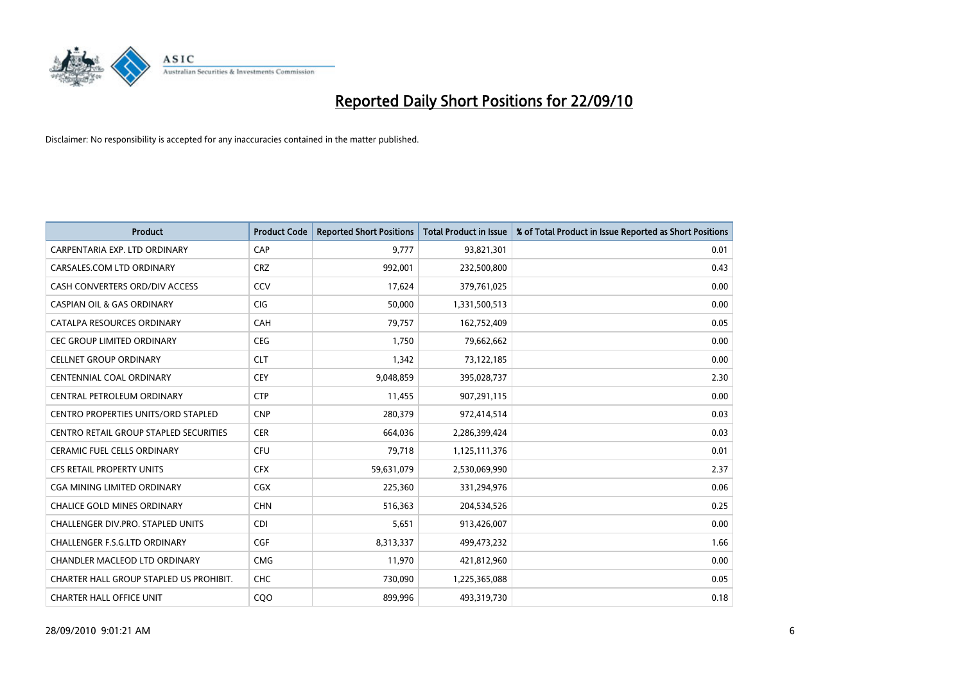

| <b>Product</b>                                | <b>Product Code</b> | <b>Reported Short Positions</b> | Total Product in Issue | % of Total Product in Issue Reported as Short Positions |
|-----------------------------------------------|---------------------|---------------------------------|------------------------|---------------------------------------------------------|
| CARPENTARIA EXP. LTD ORDINARY                 | CAP                 | 9,777                           | 93,821,301             | 0.01                                                    |
| CARSALES.COM LTD ORDINARY                     | <b>CRZ</b>          | 992,001                         | 232,500,800            | 0.43                                                    |
| CASH CONVERTERS ORD/DIV ACCESS                | CCV                 | 17,624                          | 379,761,025            | 0.00                                                    |
| <b>CASPIAN OIL &amp; GAS ORDINARY</b>         | CIG                 | 50,000                          | 1,331,500,513          | 0.00                                                    |
| CATALPA RESOURCES ORDINARY                    | CAH                 | 79,757                          | 162,752,409            | 0.05                                                    |
| <b>CEC GROUP LIMITED ORDINARY</b>             | <b>CEG</b>          | 1,750                           | 79,662,662             | 0.00                                                    |
| <b>CELLNET GROUP ORDINARY</b>                 | <b>CLT</b>          | 1,342                           | 73,122,185             | 0.00                                                    |
| CENTENNIAL COAL ORDINARY                      | CEY                 | 9,048,859                       | 395,028,737            | 2.30                                                    |
| CENTRAL PETROLEUM ORDINARY                    | <b>CTP</b>          | 11,455                          | 907,291,115            | 0.00                                                    |
| <b>CENTRO PROPERTIES UNITS/ORD STAPLED</b>    | <b>CNP</b>          | 280,379                         | 972,414,514            | 0.03                                                    |
| <b>CENTRO RETAIL GROUP STAPLED SECURITIES</b> | <b>CER</b>          | 664,036                         | 2,286,399,424          | 0.03                                                    |
| <b>CERAMIC FUEL CELLS ORDINARY</b>            | <b>CFU</b>          | 79,718                          | 1,125,111,376          | 0.01                                                    |
| <b>CFS RETAIL PROPERTY UNITS</b>              | <b>CFX</b>          | 59,631,079                      | 2,530,069,990          | 2.37                                                    |
| <b>CGA MINING LIMITED ORDINARY</b>            | CGX                 | 225,360                         | 331,294,976            | 0.06                                                    |
| <b>CHALICE GOLD MINES ORDINARY</b>            | <b>CHN</b>          | 516,363                         | 204,534,526            | 0.25                                                    |
| CHALLENGER DIV.PRO. STAPLED UNITS             | <b>CDI</b>          | 5,651                           | 913,426,007            | 0.00                                                    |
| <b>CHALLENGER F.S.G.LTD ORDINARY</b>          | <b>CGF</b>          | 8,313,337                       | 499,473,232            | 1.66                                                    |
| CHANDLER MACLEOD LTD ORDINARY                 | <b>CMG</b>          | 11,970                          | 421,812,960            | 0.00                                                    |
| CHARTER HALL GROUP STAPLED US PROHIBIT.       | <b>CHC</b>          | 730,090                         | 1,225,365,088          | 0.05                                                    |
| <b>CHARTER HALL OFFICE UNIT</b>               | COO                 | 899.996                         | 493,319,730            | 0.18                                                    |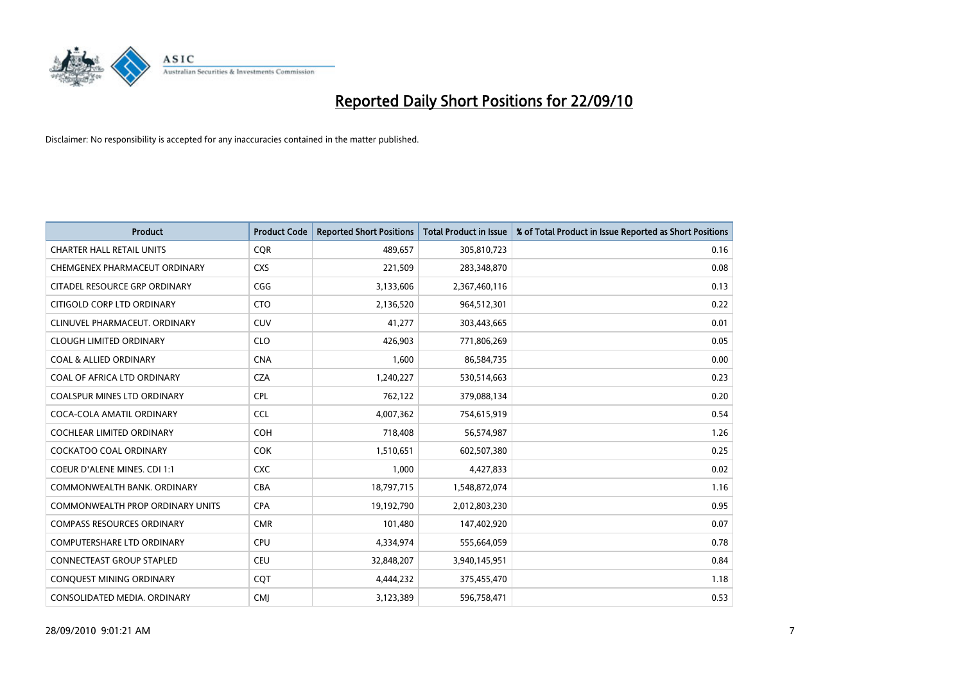

| <b>Product</b>                          | <b>Product Code</b> | <b>Reported Short Positions</b> | Total Product in Issue | % of Total Product in Issue Reported as Short Positions |
|-----------------------------------------|---------------------|---------------------------------|------------------------|---------------------------------------------------------|
| <b>CHARTER HALL RETAIL UNITS</b>        | <b>CQR</b>          | 489,657                         | 305,810,723            | 0.16                                                    |
| CHEMGENEX PHARMACEUT ORDINARY           | <b>CXS</b>          | 221,509                         | 283,348,870            | 0.08                                                    |
| CITADEL RESOURCE GRP ORDINARY           | CGG                 | 3,133,606                       | 2,367,460,116          | 0.13                                                    |
| CITIGOLD CORP LTD ORDINARY              | <b>CTO</b>          | 2,136,520                       | 964,512,301            | 0.22                                                    |
| CLINUVEL PHARMACEUT, ORDINARY           | <b>CUV</b>          | 41,277                          | 303,443,665            | 0.01                                                    |
| <b>CLOUGH LIMITED ORDINARY</b>          | <b>CLO</b>          | 426,903                         | 771,806,269            | 0.05                                                    |
| <b>COAL &amp; ALLIED ORDINARY</b>       | <b>CNA</b>          | 1.600                           | 86,584,735             | 0.00                                                    |
| COAL OF AFRICA LTD ORDINARY             | <b>CZA</b>          | 1,240,227                       | 530,514,663            | 0.23                                                    |
| COALSPUR MINES LTD ORDINARY             | <b>CPL</b>          | 762,122                         | 379,088,134            | 0.20                                                    |
| COCA-COLA AMATIL ORDINARY               | <b>CCL</b>          | 4,007,362                       | 754,615,919            | 0.54                                                    |
| <b>COCHLEAR LIMITED ORDINARY</b>        | <b>COH</b>          | 718,408                         | 56,574,987             | 1.26                                                    |
| <b>COCKATOO COAL ORDINARY</b>           | <b>COK</b>          | 1,510,651                       | 602,507,380            | 0.25                                                    |
| <b>COEUR D'ALENE MINES. CDI 1:1</b>     | <b>CXC</b>          | 1.000                           | 4,427,833              | 0.02                                                    |
| COMMONWEALTH BANK, ORDINARY             | <b>CBA</b>          | 18,797,715                      | 1,548,872,074          | 1.16                                                    |
| <b>COMMONWEALTH PROP ORDINARY UNITS</b> | <b>CPA</b>          | 19,192,790                      | 2,012,803,230          | 0.95                                                    |
| <b>COMPASS RESOURCES ORDINARY</b>       | <b>CMR</b>          | 101,480                         | 147,402,920            | 0.07                                                    |
| <b>COMPUTERSHARE LTD ORDINARY</b>       | <b>CPU</b>          | 4,334,974                       | 555,664,059            | 0.78                                                    |
| CONNECTEAST GROUP STAPLED               | <b>CEU</b>          | 32,848,207                      | 3,940,145,951          | 0.84                                                    |
| CONQUEST MINING ORDINARY                | COT                 | 4,444,232                       | 375,455,470            | 1.18                                                    |
| CONSOLIDATED MEDIA, ORDINARY            | <b>CMI</b>          | 3,123,389                       | 596,758,471            | 0.53                                                    |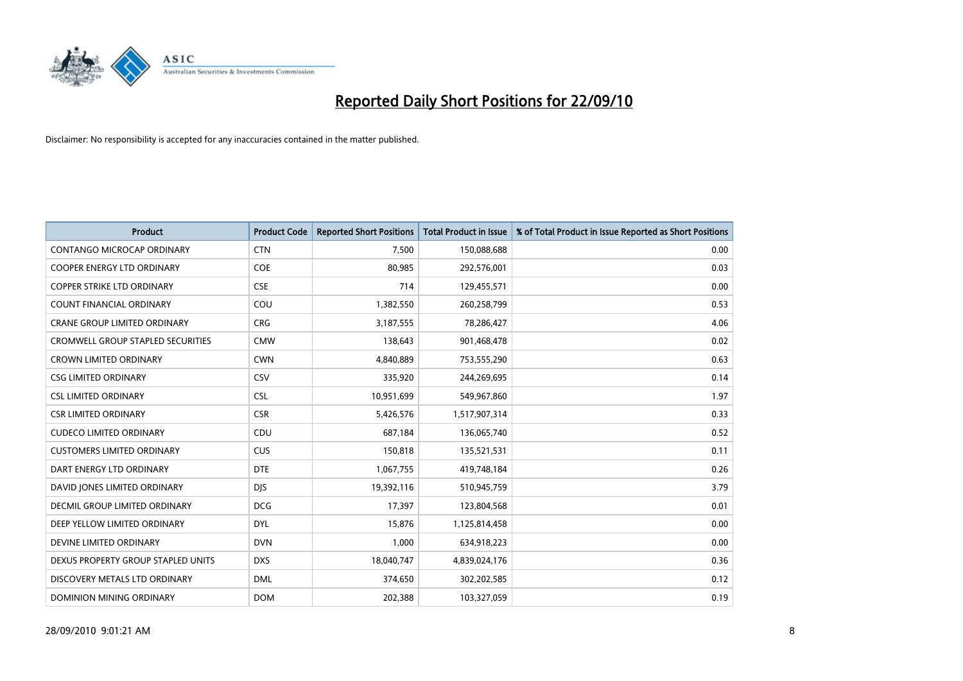

| <b>Product</b>                      | <b>Product Code</b> | <b>Reported Short Positions</b> | <b>Total Product in Issue</b> | % of Total Product in Issue Reported as Short Positions |
|-------------------------------------|---------------------|---------------------------------|-------------------------------|---------------------------------------------------------|
| CONTANGO MICROCAP ORDINARY          | <b>CTN</b>          | 7,500                           | 150,088,688                   | 0.00                                                    |
| COOPER ENERGY LTD ORDINARY          | <b>COE</b>          | 80,985                          | 292,576,001                   | 0.03                                                    |
| <b>COPPER STRIKE LTD ORDINARY</b>   | <b>CSE</b>          | 714                             | 129,455,571                   | 0.00                                                    |
| COUNT FINANCIAL ORDINARY            | COU                 | 1,382,550                       | 260,258,799                   | 0.53                                                    |
| <b>CRANE GROUP LIMITED ORDINARY</b> | <b>CRG</b>          | 3,187,555                       | 78,286,427                    | 4.06                                                    |
| CROMWELL GROUP STAPLED SECURITIES   | <b>CMW</b>          | 138,643                         | 901,468,478                   | 0.02                                                    |
| <b>CROWN LIMITED ORDINARY</b>       | <b>CWN</b>          | 4,840,889                       | 753,555,290                   | 0.63                                                    |
| <b>CSG LIMITED ORDINARY</b>         | CSV                 | 335,920                         | 244,269,695                   | 0.14                                                    |
| <b>CSL LIMITED ORDINARY</b>         | <b>CSL</b>          | 10,951,699                      | 549,967,860                   | 1.97                                                    |
| <b>CSR LIMITED ORDINARY</b>         | <b>CSR</b>          | 5,426,576                       | 1,517,907,314                 | 0.33                                                    |
| <b>CUDECO LIMITED ORDINARY</b>      | CDU                 | 687,184                         | 136,065,740                   | 0.52                                                    |
| <b>CUSTOMERS LIMITED ORDINARY</b>   | <b>CUS</b>          | 150,818                         | 135,521,531                   | 0.11                                                    |
| DART ENERGY LTD ORDINARY            | <b>DTE</b>          | 1,067,755                       | 419,748,184                   | 0.26                                                    |
| DAVID JONES LIMITED ORDINARY        | <b>DJS</b>          | 19,392,116                      | 510,945,759                   | 3.79                                                    |
| DECMIL GROUP LIMITED ORDINARY       | <b>DCG</b>          | 17,397                          | 123,804,568                   | 0.01                                                    |
| DEEP YELLOW LIMITED ORDINARY        | <b>DYL</b>          | 15,876                          | 1,125,814,458                 | 0.00                                                    |
| DEVINE LIMITED ORDINARY             | <b>DVN</b>          | 1,000                           | 634,918,223                   | 0.00                                                    |
| DEXUS PROPERTY GROUP STAPLED UNITS  | <b>DXS</b>          | 18,040,747                      | 4,839,024,176                 | 0.36                                                    |
| DISCOVERY METALS LTD ORDINARY       | <b>DML</b>          | 374,650                         | 302,202,585                   | 0.12                                                    |
| DOMINION MINING ORDINARY            | <b>DOM</b>          | 202,388                         | 103,327,059                   | 0.19                                                    |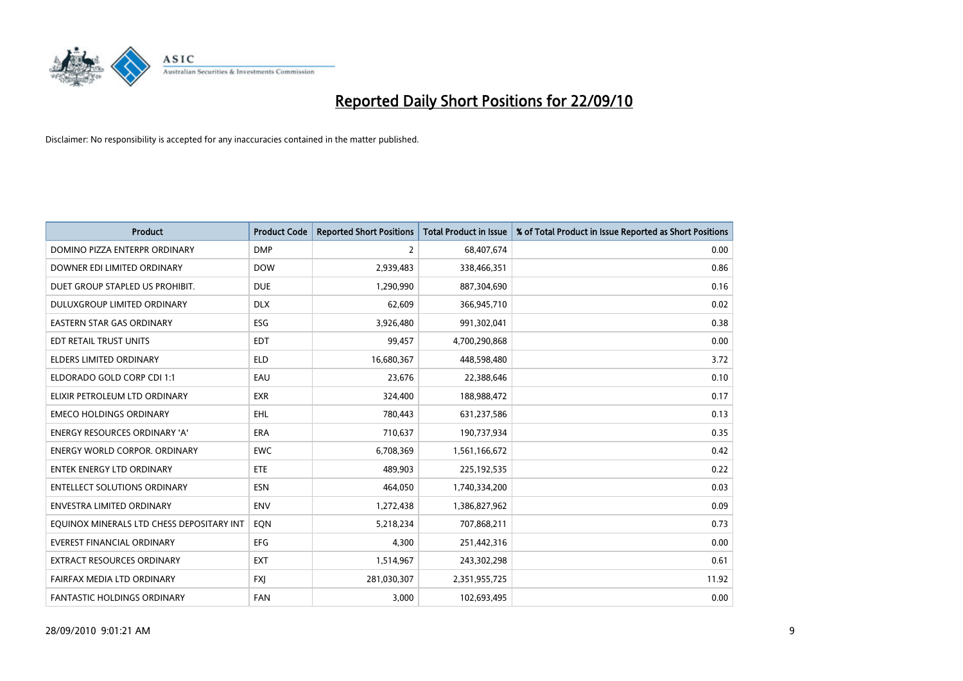

| <b>Product</b>                            | <b>Product Code</b> | <b>Reported Short Positions</b> | <b>Total Product in Issue</b> | % of Total Product in Issue Reported as Short Positions |
|-------------------------------------------|---------------------|---------------------------------|-------------------------------|---------------------------------------------------------|
| DOMINO PIZZA ENTERPR ORDINARY             | <b>DMP</b>          | 2                               | 68,407,674                    | 0.00                                                    |
| DOWNER EDI LIMITED ORDINARY               | <b>DOW</b>          | 2,939,483                       | 338,466,351                   | 0.86                                                    |
| DUET GROUP STAPLED US PROHIBIT.           | <b>DUE</b>          | 1,290,990                       | 887,304,690                   | 0.16                                                    |
| DULUXGROUP LIMITED ORDINARY               | <b>DLX</b>          | 62,609                          | 366,945,710                   | 0.02                                                    |
| <b>EASTERN STAR GAS ORDINARY</b>          | ESG                 | 3,926,480                       | 991,302,041                   | 0.38                                                    |
| EDT RETAIL TRUST UNITS                    | <b>EDT</b>          | 99,457                          | 4,700,290,868                 | 0.00                                                    |
| ELDERS LIMITED ORDINARY                   | <b>ELD</b>          | 16,680,367                      | 448,598,480                   | 3.72                                                    |
| ELDORADO GOLD CORP CDI 1:1                | EAU                 | 23,676                          | 22,388,646                    | 0.10                                                    |
| ELIXIR PETROLEUM LTD ORDINARY             | <b>EXR</b>          | 324,400                         | 188,988,472                   | 0.17                                                    |
| <b>EMECO HOLDINGS ORDINARY</b>            | <b>EHL</b>          | 780,443                         | 631,237,586                   | 0.13                                                    |
| ENERGY RESOURCES ORDINARY 'A'             | <b>ERA</b>          | 710,637                         | 190,737,934                   | 0.35                                                    |
| <b>ENERGY WORLD CORPOR, ORDINARY</b>      | <b>EWC</b>          | 6,708,369                       | 1,561,166,672                 | 0.42                                                    |
| ENTEK ENERGY LTD ORDINARY                 | <b>ETE</b>          | 489,903                         | 225,192,535                   | 0.22                                                    |
| <b>ENTELLECT SOLUTIONS ORDINARY</b>       | <b>ESN</b>          | 464,050                         | 1,740,334,200                 | 0.03                                                    |
| <b>ENVESTRA LIMITED ORDINARY</b>          | <b>ENV</b>          | 1,272,438                       | 1,386,827,962                 | 0.09                                                    |
| EQUINOX MINERALS LTD CHESS DEPOSITARY INT | EON                 | 5,218,234                       | 707,868,211                   | 0.73                                                    |
| EVEREST FINANCIAL ORDINARY                | EFG                 | 4,300                           | 251,442,316                   | 0.00                                                    |
| EXTRACT RESOURCES ORDINARY                | <b>EXT</b>          | 1,514,967                       | 243,302,298                   | 0.61                                                    |
| FAIRFAX MEDIA LTD ORDINARY                | <b>FXI</b>          | 281,030,307                     | 2,351,955,725                 | 11.92                                                   |
| FANTASTIC HOLDINGS ORDINARY               | FAN                 | 3,000                           | 102,693,495                   | 0.00                                                    |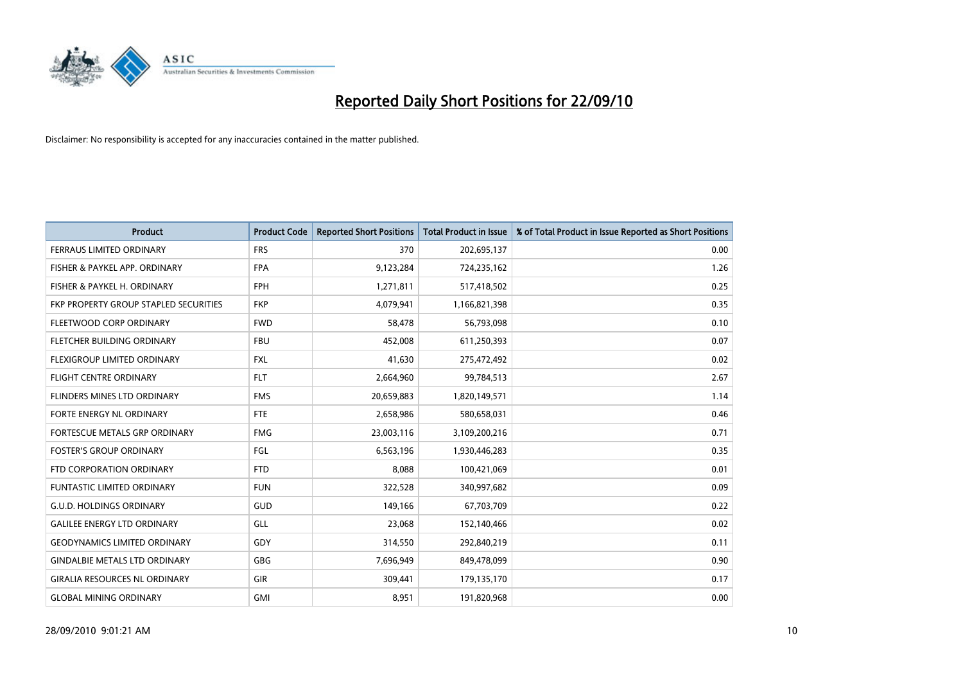

| <b>Product</b>                        | <b>Product Code</b> | <b>Reported Short Positions</b> | <b>Total Product in Issue</b> | % of Total Product in Issue Reported as Short Positions |
|---------------------------------------|---------------------|---------------------------------|-------------------------------|---------------------------------------------------------|
| <b>FERRAUS LIMITED ORDINARY</b>       | <b>FRS</b>          | 370                             | 202,695,137                   | 0.00                                                    |
| FISHER & PAYKEL APP. ORDINARY         | <b>FPA</b>          | 9,123,284                       | 724,235,162                   | 1.26                                                    |
| FISHER & PAYKEL H. ORDINARY           | <b>FPH</b>          | 1,271,811                       | 517,418,502                   | 0.25                                                    |
| FKP PROPERTY GROUP STAPLED SECURITIES | <b>FKP</b>          | 4,079,941                       | 1,166,821,398                 | 0.35                                                    |
| FLEETWOOD CORP ORDINARY               | <b>FWD</b>          | 58,478                          | 56,793,098                    | 0.10                                                    |
| FLETCHER BUILDING ORDINARY            | <b>FBU</b>          | 452,008                         | 611,250,393                   | 0.07                                                    |
| FLEXIGROUP LIMITED ORDINARY           | <b>FXL</b>          | 41,630                          | 275,472,492                   | 0.02                                                    |
| <b>FLIGHT CENTRE ORDINARY</b>         | <b>FLT</b>          | 2,664,960                       | 99,784,513                    | 2.67                                                    |
| FLINDERS MINES LTD ORDINARY           | <b>FMS</b>          | 20,659,883                      | 1,820,149,571                 | 1.14                                                    |
| FORTE ENERGY NL ORDINARY              | <b>FTE</b>          | 2,658,986                       | 580,658,031                   | 0.46                                                    |
| FORTESCUE METALS GRP ORDINARY         | <b>FMG</b>          | 23,003,116                      | 3,109,200,216                 | 0.71                                                    |
| <b>FOSTER'S GROUP ORDINARY</b>        | FGL                 | 6,563,196                       | 1,930,446,283                 | 0.35                                                    |
| FTD CORPORATION ORDINARY              | <b>FTD</b>          | 8,088                           | 100,421,069                   | 0.01                                                    |
| <b>FUNTASTIC LIMITED ORDINARY</b>     | <b>FUN</b>          | 322,528                         | 340,997,682                   | 0.09                                                    |
| <b>G.U.D. HOLDINGS ORDINARY</b>       | <b>GUD</b>          | 149,166                         | 67,703,709                    | 0.22                                                    |
| <b>GALILEE ENERGY LTD ORDINARY</b>    | GLL                 | 23,068                          | 152,140,466                   | 0.02                                                    |
| <b>GEODYNAMICS LIMITED ORDINARY</b>   | GDY                 | 314,550                         | 292,840,219                   | 0.11                                                    |
| <b>GINDALBIE METALS LTD ORDINARY</b>  | <b>GBG</b>          | 7,696,949                       | 849,478,099                   | 0.90                                                    |
| <b>GIRALIA RESOURCES NL ORDINARY</b>  | GIR                 | 309,441                         | 179,135,170                   | 0.17                                                    |
| <b>GLOBAL MINING ORDINARY</b>         | <b>GMI</b>          | 8,951                           | 191,820,968                   | 0.00                                                    |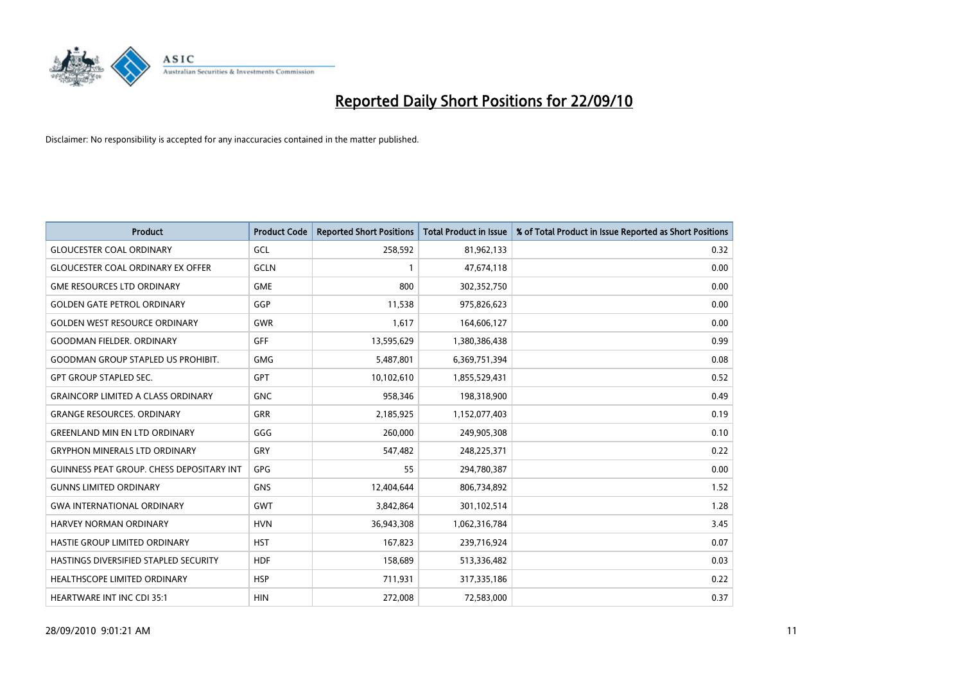

| <b>Product</b>                                   | <b>Product Code</b> | <b>Reported Short Positions</b> | Total Product in Issue | % of Total Product in Issue Reported as Short Positions |
|--------------------------------------------------|---------------------|---------------------------------|------------------------|---------------------------------------------------------|
| <b>GLOUCESTER COAL ORDINARY</b>                  | GCL                 | 258,592                         | 81,962,133             | 0.32                                                    |
| <b>GLOUCESTER COAL ORDINARY EX OFFER</b>         | <b>GCLN</b>         |                                 | 47,674,118             | 0.00                                                    |
| <b>GME RESOURCES LTD ORDINARY</b>                | <b>GME</b>          | 800                             | 302,352,750            | 0.00                                                    |
| <b>GOLDEN GATE PETROL ORDINARY</b>               | GGP                 | 11,538                          | 975,826,623            | 0.00                                                    |
| <b>GOLDEN WEST RESOURCE ORDINARY</b>             | <b>GWR</b>          | 1,617                           | 164,606,127            | 0.00                                                    |
| <b>GOODMAN FIELDER, ORDINARY</b>                 | <b>GFF</b>          | 13,595,629                      | 1,380,386,438          | 0.99                                                    |
| <b>GOODMAN GROUP STAPLED US PROHIBIT.</b>        | <b>GMG</b>          | 5,487,801                       | 6,369,751,394          | 0.08                                                    |
| <b>GPT GROUP STAPLED SEC.</b>                    | <b>GPT</b>          | 10,102,610                      | 1,855,529,431          | 0.52                                                    |
| <b>GRAINCORP LIMITED A CLASS ORDINARY</b>        | <b>GNC</b>          | 958,346                         | 198,318,900            | 0.49                                                    |
| <b>GRANGE RESOURCES, ORDINARY</b>                | <b>GRR</b>          | 2,185,925                       | 1,152,077,403          | 0.19                                                    |
| <b>GREENLAND MIN EN LTD ORDINARY</b>             | GGG                 | 260,000                         | 249,905,308            | 0.10                                                    |
| <b>GRYPHON MINERALS LTD ORDINARY</b>             | GRY                 | 547,482                         | 248,225,371            | 0.22                                                    |
| <b>GUINNESS PEAT GROUP. CHESS DEPOSITARY INT</b> | <b>GPG</b>          | 55                              | 294,780,387            | 0.00                                                    |
| <b>GUNNS LIMITED ORDINARY</b>                    | <b>GNS</b>          | 12,404,644                      | 806,734,892            | 1.52                                                    |
| <b>GWA INTERNATIONAL ORDINARY</b>                | GWT                 | 3,842,864                       | 301,102,514            | 1.28                                                    |
| HARVEY NORMAN ORDINARY                           | <b>HVN</b>          | 36,943,308                      | 1,062,316,784          | 3.45                                                    |
| HASTIE GROUP LIMITED ORDINARY                    | <b>HST</b>          | 167,823                         | 239,716,924            | 0.07                                                    |
| HASTINGS DIVERSIFIED STAPLED SECURITY            | <b>HDF</b>          | 158,689                         | 513,336,482            | 0.03                                                    |
| HEALTHSCOPE LIMITED ORDINARY                     | <b>HSP</b>          | 711,931                         | 317,335,186            | 0.22                                                    |
| <b>HEARTWARE INT INC CDI 35:1</b>                | <b>HIN</b>          | 272,008                         | 72,583,000             | 0.37                                                    |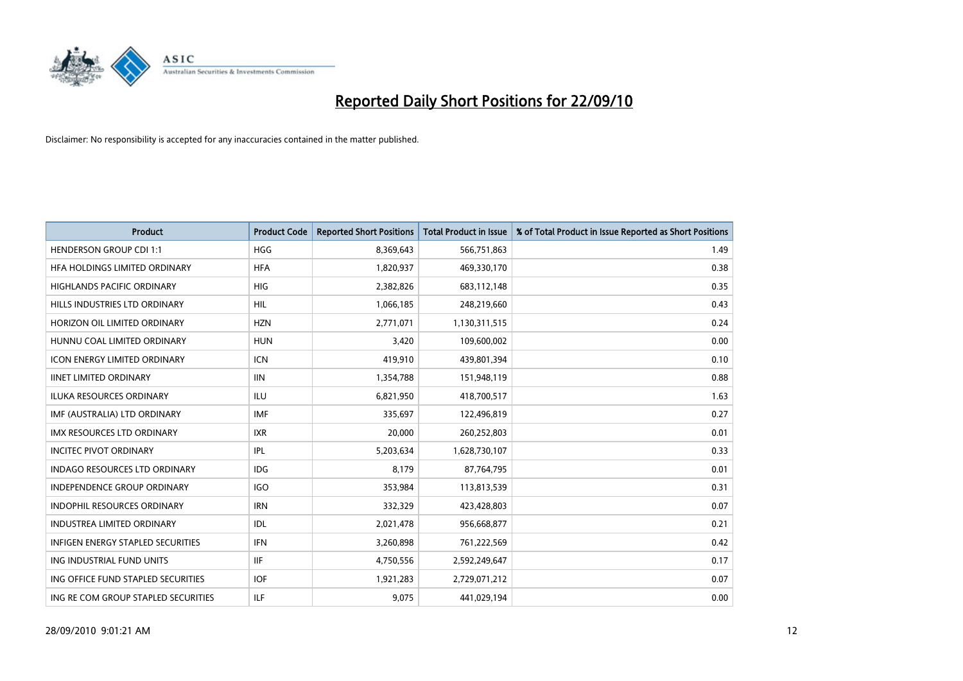

| <b>Product</b>                      | <b>Product Code</b> | <b>Reported Short Positions</b> | Total Product in Issue | % of Total Product in Issue Reported as Short Positions |
|-------------------------------------|---------------------|---------------------------------|------------------------|---------------------------------------------------------|
| <b>HENDERSON GROUP CDI 1:1</b>      | <b>HGG</b>          | 8,369,643                       | 566,751,863            | 1.49                                                    |
| HFA HOLDINGS LIMITED ORDINARY       | <b>HFA</b>          | 1,820,937                       | 469,330,170            | 0.38                                                    |
| <b>HIGHLANDS PACIFIC ORDINARY</b>   | <b>HIG</b>          | 2,382,826                       | 683,112,148            | 0.35                                                    |
| HILLS INDUSTRIES LTD ORDINARY       | <b>HIL</b>          | 1,066,185                       | 248,219,660            | 0.43                                                    |
| HORIZON OIL LIMITED ORDINARY        | <b>HZN</b>          | 2,771,071                       | 1,130,311,515          | 0.24                                                    |
| HUNNU COAL LIMITED ORDINARY         | <b>HUN</b>          | 3,420                           | 109,600,002            | 0.00                                                    |
| <b>ICON ENERGY LIMITED ORDINARY</b> | <b>ICN</b>          | 419,910                         | 439,801,394            | 0.10                                                    |
| <b>IINET LIMITED ORDINARY</b>       | <b>IIN</b>          | 1,354,788                       | 151,948,119            | 0.88                                                    |
| <b>ILUKA RESOURCES ORDINARY</b>     | <b>ILU</b>          | 6,821,950                       | 418,700,517            | 1.63                                                    |
| IMF (AUSTRALIA) LTD ORDINARY        | <b>IMF</b>          | 335,697                         | 122,496,819            | 0.27                                                    |
| IMX RESOURCES LTD ORDINARY          | <b>IXR</b>          | 20,000                          | 260,252,803            | 0.01                                                    |
| <b>INCITEC PIVOT ORDINARY</b>       | IPL                 | 5,203,634                       | 1,628,730,107          | 0.33                                                    |
| INDAGO RESOURCES LTD ORDINARY       | <b>IDG</b>          | 8,179                           | 87,764,795             | 0.01                                                    |
| <b>INDEPENDENCE GROUP ORDINARY</b>  | <b>IGO</b>          | 353,984                         | 113,813,539            | 0.31                                                    |
| <b>INDOPHIL RESOURCES ORDINARY</b>  | <b>IRN</b>          | 332,329                         | 423,428,803            | 0.07                                                    |
| <b>INDUSTREA LIMITED ORDINARY</b>   | IDL                 | 2,021,478                       | 956,668,877            | 0.21                                                    |
| INFIGEN ENERGY STAPLED SECURITIES   | <b>IFN</b>          | 3,260,898                       | 761,222,569            | 0.42                                                    |
| ING INDUSTRIAL FUND UNITS           | <b>IIF</b>          | 4,750,556                       | 2,592,249,647          | 0.17                                                    |
| ING OFFICE FUND STAPLED SECURITIES  | <b>IOF</b>          | 1,921,283                       | 2,729,071,212          | 0.07                                                    |
| ING RE COM GROUP STAPLED SECURITIES | <b>ILF</b>          | 9,075                           | 441,029,194            | 0.00                                                    |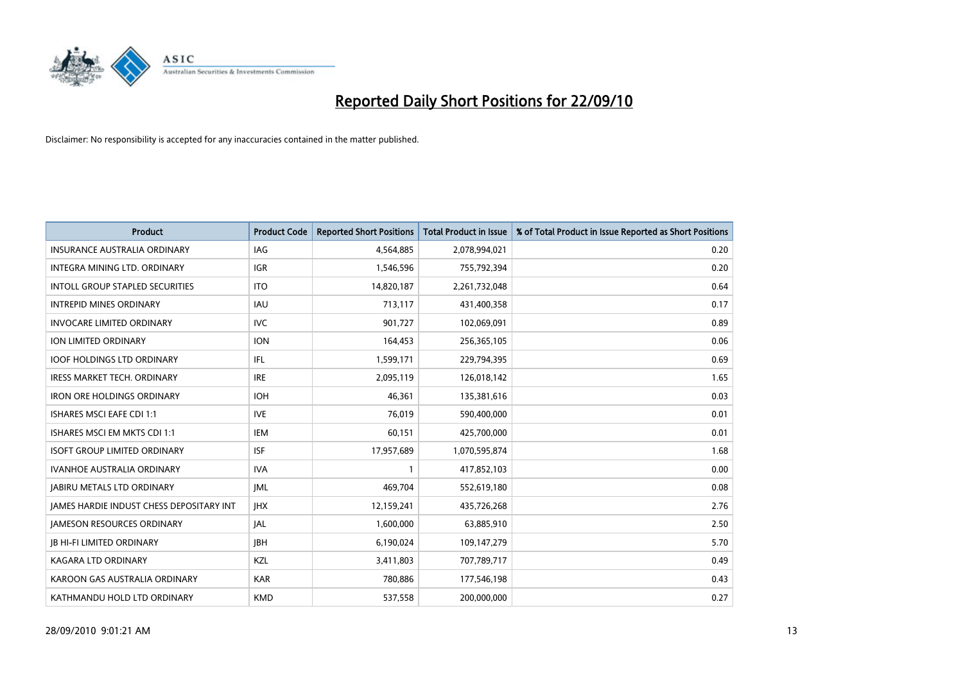

| <b>Product</b>                                  | <b>Product Code</b> | <b>Reported Short Positions</b> | <b>Total Product in Issue</b> | % of Total Product in Issue Reported as Short Positions |
|-------------------------------------------------|---------------------|---------------------------------|-------------------------------|---------------------------------------------------------|
| <b>INSURANCE AUSTRALIA ORDINARY</b>             | IAG                 | 4,564,885                       | 2,078,994,021                 | 0.20                                                    |
| INTEGRA MINING LTD. ORDINARY                    | <b>IGR</b>          | 1,546,596                       | 755,792,394                   | 0.20                                                    |
| <b>INTOLL GROUP STAPLED SECURITIES</b>          | <b>ITO</b>          | 14,820,187                      | 2,261,732,048                 | 0.64                                                    |
| <b>INTREPID MINES ORDINARY</b>                  | <b>IAU</b>          | 713,117                         | 431,400,358                   | 0.17                                                    |
| <b>INVOCARE LIMITED ORDINARY</b>                | <b>IVC</b>          | 901,727                         | 102,069,091                   | 0.89                                                    |
| ION LIMITED ORDINARY                            | <b>ION</b>          | 164,453                         | 256,365,105                   | 0.06                                                    |
| <b>IOOF HOLDINGS LTD ORDINARY</b>               | IFL                 | 1,599,171                       | 229,794,395                   | 0.69                                                    |
| IRESS MARKET TECH. ORDINARY                     | <b>IRE</b>          | 2,095,119                       | 126,018,142                   | 1.65                                                    |
| <b>IRON ORE HOLDINGS ORDINARY</b>               | <b>IOH</b>          | 46,361                          | 135,381,616                   | 0.03                                                    |
| <b>ISHARES MSCI EAFE CDI 1:1</b>                | <b>IVE</b>          | 76,019                          | 590,400,000                   | 0.01                                                    |
| ISHARES MSCI EM MKTS CDI 1:1                    | <b>IEM</b>          | 60,151                          | 425,700,000                   | 0.01                                                    |
| <b>ISOFT GROUP LIMITED ORDINARY</b>             | <b>ISF</b>          | 17,957,689                      | 1,070,595,874                 | 1.68                                                    |
| <b>IVANHOE AUSTRALIA ORDINARY</b>               | <b>IVA</b>          |                                 | 417,852,103                   | 0.00                                                    |
| <b>JABIRU METALS LTD ORDINARY</b>               | <b>IML</b>          | 469,704                         | 552,619,180                   | 0.08                                                    |
| <b>JAMES HARDIE INDUST CHESS DEPOSITARY INT</b> | <b>IHX</b>          | 12,159,241                      | 435,726,268                   | 2.76                                                    |
| <b>JAMESON RESOURCES ORDINARY</b>               | <b>JAL</b>          | 1,600,000                       | 63,885,910                    | 2.50                                                    |
| <b>JB HI-FI LIMITED ORDINARY</b>                | <b>IBH</b>          | 6,190,024                       | 109,147,279                   | 5.70                                                    |
| <b>KAGARA LTD ORDINARY</b>                      | KZL                 | 3,411,803                       | 707,789,717                   | 0.49                                                    |
| KAROON GAS AUSTRALIA ORDINARY                   | <b>KAR</b>          | 780,886                         | 177,546,198                   | 0.43                                                    |
| KATHMANDU HOLD LTD ORDINARY                     | <b>KMD</b>          | 537,558                         | 200,000,000                   | 0.27                                                    |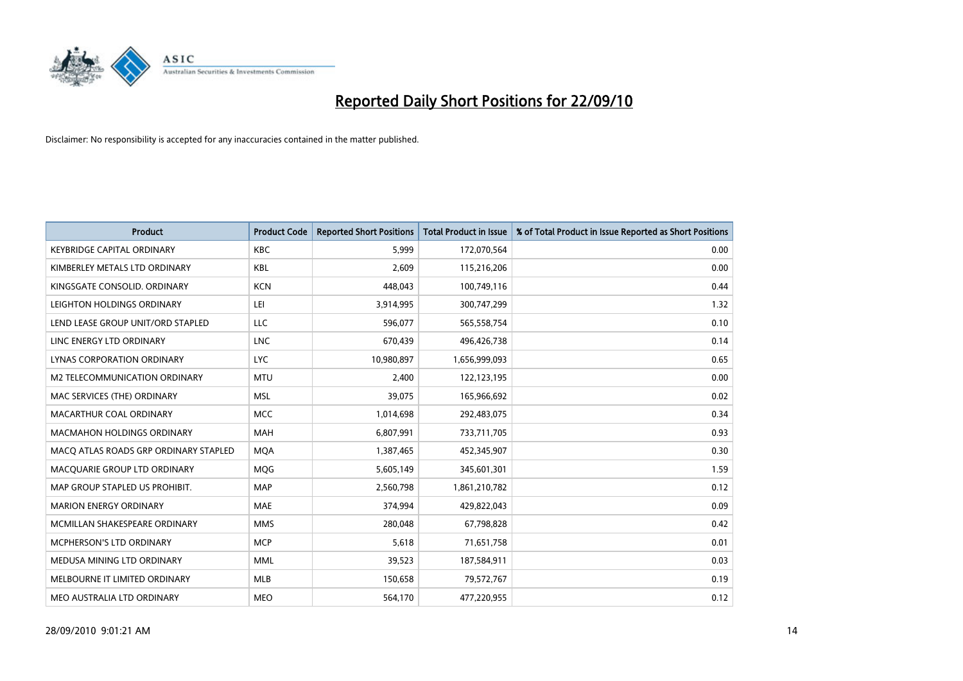

| <b>Product</b>                        | <b>Product Code</b> | <b>Reported Short Positions</b> | <b>Total Product in Issue</b> | % of Total Product in Issue Reported as Short Positions |
|---------------------------------------|---------------------|---------------------------------|-------------------------------|---------------------------------------------------------|
| <b>KEYBRIDGE CAPITAL ORDINARY</b>     | <b>KBC</b>          | 5.999                           | 172,070,564                   | 0.00                                                    |
| KIMBERLEY METALS LTD ORDINARY         | <b>KBL</b>          | 2,609                           | 115,216,206                   | 0.00                                                    |
| KINGSGATE CONSOLID. ORDINARY          | <b>KCN</b>          | 448.043                         | 100,749,116                   | 0.44                                                    |
| LEIGHTON HOLDINGS ORDINARY            | LEI                 | 3,914,995                       | 300,747,299                   | 1.32                                                    |
| LEND LEASE GROUP UNIT/ORD STAPLED     | LLC                 | 596,077                         | 565,558,754                   | 0.10                                                    |
| LINC ENERGY LTD ORDINARY              | <b>LNC</b>          | 670,439                         | 496,426,738                   | 0.14                                                    |
| LYNAS CORPORATION ORDINARY            | <b>LYC</b>          | 10,980,897                      | 1,656,999,093                 | 0.65                                                    |
| M2 TELECOMMUNICATION ORDINARY         | <b>MTU</b>          | 2,400                           | 122,123,195                   | 0.00                                                    |
| MAC SERVICES (THE) ORDINARY           | <b>MSL</b>          | 39,075                          | 165,966,692                   | 0.02                                                    |
| MACARTHUR COAL ORDINARY               | <b>MCC</b>          | 1,014,698                       | 292,483,075                   | 0.34                                                    |
| <b>MACMAHON HOLDINGS ORDINARY</b>     | <b>MAH</b>          | 6,807,991                       | 733,711,705                   | 0.93                                                    |
| MACQ ATLAS ROADS GRP ORDINARY STAPLED | <b>MOA</b>          | 1,387,465                       | 452,345,907                   | 0.30                                                    |
| MACQUARIE GROUP LTD ORDINARY          | MQG                 | 5,605,149                       | 345,601,301                   | 1.59                                                    |
| MAP GROUP STAPLED US PROHIBIT.        | <b>MAP</b>          | 2,560,798                       | 1,861,210,782                 | 0.12                                                    |
| <b>MARION ENERGY ORDINARY</b>         | <b>MAE</b>          | 374.994                         | 429,822,043                   | 0.09                                                    |
| MCMILLAN SHAKESPEARE ORDINARY         | <b>MMS</b>          | 280,048                         | 67,798,828                    | 0.42                                                    |
| MCPHERSON'S LTD ORDINARY              | <b>MCP</b>          | 5,618                           | 71,651,758                    | 0.01                                                    |
| MEDUSA MINING LTD ORDINARY            | <b>MML</b>          | 39,523                          | 187,584,911                   | 0.03                                                    |
| MELBOURNE IT LIMITED ORDINARY         | <b>MLB</b>          | 150,658                         | 79,572,767                    | 0.19                                                    |
| MEO AUSTRALIA LTD ORDINARY            | <b>MEO</b>          | 564,170                         | 477,220,955                   | 0.12                                                    |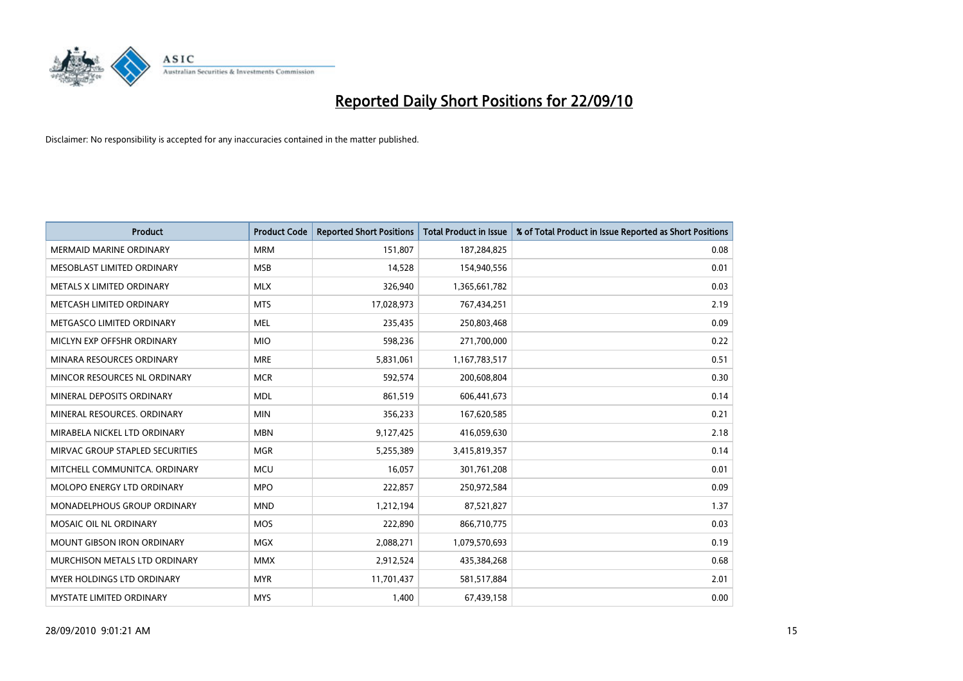

| <b>Product</b>                     | <b>Product Code</b> | <b>Reported Short Positions</b> | Total Product in Issue | % of Total Product in Issue Reported as Short Positions |
|------------------------------------|---------------------|---------------------------------|------------------------|---------------------------------------------------------|
| <b>MERMAID MARINE ORDINARY</b>     | <b>MRM</b>          | 151,807                         | 187,284,825            | 0.08                                                    |
| MESOBLAST LIMITED ORDINARY         | <b>MSB</b>          | 14,528                          | 154,940,556            | 0.01                                                    |
| METALS X LIMITED ORDINARY          | <b>MLX</b>          | 326,940                         | 1,365,661,782          | 0.03                                                    |
| METCASH LIMITED ORDINARY           | <b>MTS</b>          | 17,028,973                      | 767,434,251            | 2.19                                                    |
| METGASCO LIMITED ORDINARY          | <b>MEL</b>          | 235,435                         | 250,803,468            | 0.09                                                    |
| MICLYN EXP OFFSHR ORDINARY         | <b>MIO</b>          | 598,236                         | 271,700,000            | 0.22                                                    |
| MINARA RESOURCES ORDINARY          | <b>MRE</b>          | 5,831,061                       | 1,167,783,517          | 0.51                                                    |
| MINCOR RESOURCES NL ORDINARY       | <b>MCR</b>          | 592,574                         | 200,608,804            | 0.30                                                    |
| MINERAL DEPOSITS ORDINARY          | <b>MDL</b>          | 861,519                         | 606,441,673            | 0.14                                                    |
| MINERAL RESOURCES, ORDINARY        | <b>MIN</b>          | 356,233                         | 167,620,585            | 0.21                                                    |
| MIRABELA NICKEL LTD ORDINARY       | <b>MBN</b>          | 9,127,425                       | 416,059,630            | 2.18                                                    |
| MIRVAC GROUP STAPLED SECURITIES    | <b>MGR</b>          | 5,255,389                       | 3,415,819,357          | 0.14                                                    |
| MITCHELL COMMUNITCA. ORDINARY      | <b>MCU</b>          | 16,057                          | 301,761,208            | 0.01                                                    |
| MOLOPO ENERGY LTD ORDINARY         | <b>MPO</b>          | 222,857                         | 250,972,584            | 0.09                                                    |
| <b>MONADELPHOUS GROUP ORDINARY</b> | <b>MND</b>          | 1,212,194                       | 87,521,827             | 1.37                                                    |
| MOSAIC OIL NL ORDINARY             | <b>MOS</b>          | 222,890                         | 866,710,775            | 0.03                                                    |
| MOUNT GIBSON IRON ORDINARY         | MGX                 | 2,088,271                       | 1,079,570,693          | 0.19                                                    |
| MURCHISON METALS LTD ORDINARY      | <b>MMX</b>          | 2,912,524                       | 435,384,268            | 0.68                                                    |
| <b>MYER HOLDINGS LTD ORDINARY</b>  | <b>MYR</b>          | 11,701,437                      | 581,517,884            | 2.01                                                    |
| MYSTATE LIMITED ORDINARY           | <b>MYS</b>          | 1,400                           | 67,439,158             | 0.00                                                    |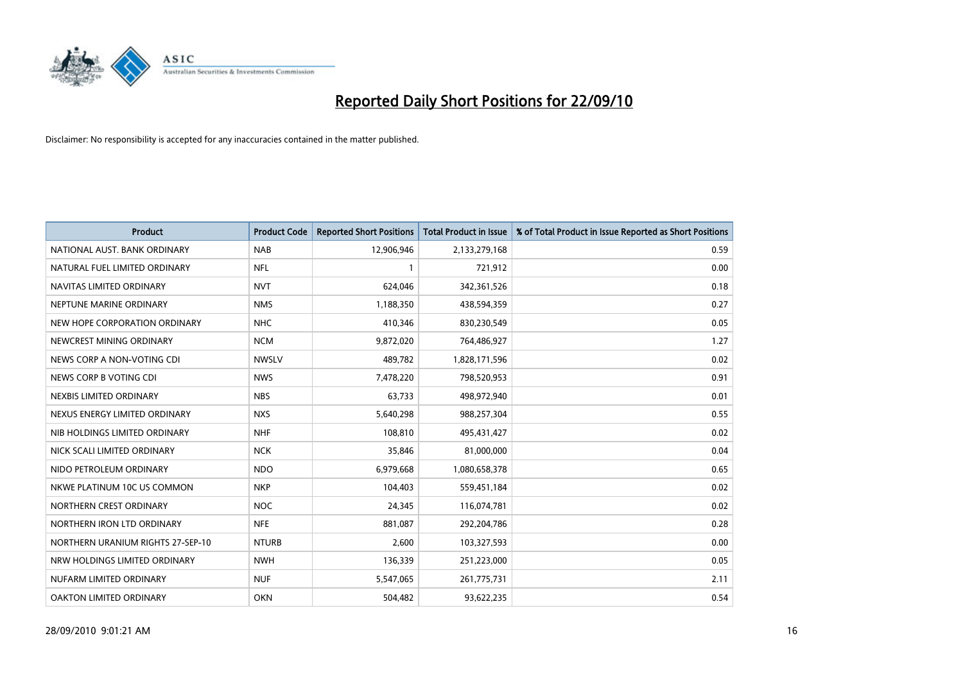

| <b>Product</b>                    | <b>Product Code</b> | <b>Reported Short Positions</b> | <b>Total Product in Issue</b> | % of Total Product in Issue Reported as Short Positions |
|-----------------------------------|---------------------|---------------------------------|-------------------------------|---------------------------------------------------------|
| NATIONAL AUST. BANK ORDINARY      | <b>NAB</b>          | 12,906,946                      | 2,133,279,168                 | 0.59                                                    |
| NATURAL FUEL LIMITED ORDINARY     | <b>NFL</b>          |                                 | 721,912                       | 0.00                                                    |
| NAVITAS LIMITED ORDINARY          | <b>NVT</b>          | 624.046                         | 342,361,526                   | 0.18                                                    |
| NEPTUNE MARINE ORDINARY           | <b>NMS</b>          | 1,188,350                       | 438,594,359                   | 0.27                                                    |
| NEW HOPE CORPORATION ORDINARY     | <b>NHC</b>          | 410,346                         | 830,230,549                   | 0.05                                                    |
| NEWCREST MINING ORDINARY          | <b>NCM</b>          | 9,872,020                       | 764,486,927                   | 1.27                                                    |
| NEWS CORP A NON-VOTING CDI        | <b>NWSLV</b>        | 489,782                         | 1,828,171,596                 | 0.02                                                    |
| NEWS CORP B VOTING CDI            | <b>NWS</b>          | 7,478,220                       | 798,520,953                   | 0.91                                                    |
| NEXBIS LIMITED ORDINARY           | <b>NBS</b>          | 63,733                          | 498,972,940                   | 0.01                                                    |
| NEXUS ENERGY LIMITED ORDINARY     | <b>NXS</b>          | 5,640,298                       | 988,257,304                   | 0.55                                                    |
| NIB HOLDINGS LIMITED ORDINARY     | <b>NHF</b>          | 108,810                         | 495,431,427                   | 0.02                                                    |
| NICK SCALI LIMITED ORDINARY       | <b>NCK</b>          | 35,846                          | 81,000,000                    | 0.04                                                    |
| NIDO PETROLEUM ORDINARY           | <b>NDO</b>          | 6,979,668                       | 1,080,658,378                 | 0.65                                                    |
| NKWE PLATINUM 10C US COMMON       | <b>NKP</b>          | 104,403                         | 559,451,184                   | 0.02                                                    |
| NORTHERN CREST ORDINARY           | NOC                 | 24.345                          | 116,074,781                   | 0.02                                                    |
| NORTHERN IRON LTD ORDINARY        | <b>NFE</b>          | 881,087                         | 292,204,786                   | 0.28                                                    |
| NORTHERN URANIUM RIGHTS 27-SEP-10 | <b>NTURB</b>        | 2,600                           | 103,327,593                   | 0.00                                                    |
| NRW HOLDINGS LIMITED ORDINARY     | <b>NWH</b>          | 136,339                         | 251,223,000                   | 0.05                                                    |
| NUFARM LIMITED ORDINARY           | <b>NUF</b>          | 5,547,065                       | 261,775,731                   | 2.11                                                    |
| OAKTON LIMITED ORDINARY           | <b>OKN</b>          | 504,482                         | 93,622,235                    | 0.54                                                    |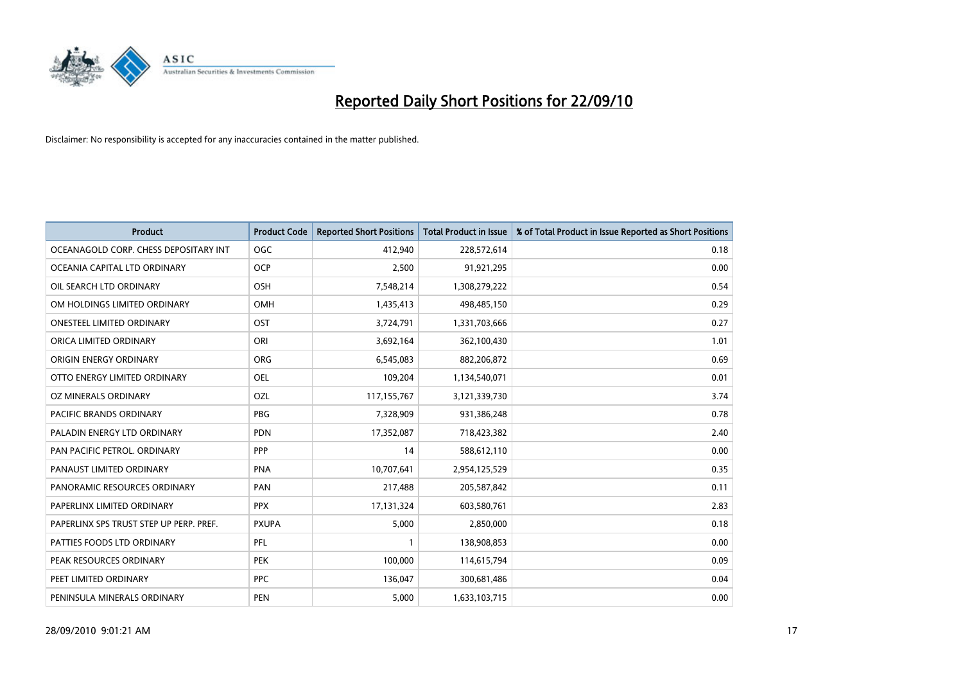

| <b>Product</b>                          | <b>Product Code</b> | <b>Reported Short Positions</b> | <b>Total Product in Issue</b> | % of Total Product in Issue Reported as Short Positions |
|-----------------------------------------|---------------------|---------------------------------|-------------------------------|---------------------------------------------------------|
| OCEANAGOLD CORP. CHESS DEPOSITARY INT   | <b>OGC</b>          | 412,940                         | 228,572,614                   | 0.18                                                    |
| OCEANIA CAPITAL LTD ORDINARY            | <b>OCP</b>          | 2,500                           | 91,921,295                    | 0.00                                                    |
| OIL SEARCH LTD ORDINARY                 | <b>OSH</b>          | 7,548,214                       | 1,308,279,222                 | 0.54                                                    |
| OM HOLDINGS LIMITED ORDINARY            | <b>OMH</b>          | 1,435,413                       | 498,485,150                   | 0.29                                                    |
| <b>ONESTEEL LIMITED ORDINARY</b>        | OST                 | 3,724,791                       | 1,331,703,666                 | 0.27                                                    |
| ORICA LIMITED ORDINARY                  | ORI                 | 3,692,164                       | 362,100,430                   | 1.01                                                    |
| ORIGIN ENERGY ORDINARY                  | ORG                 | 6,545,083                       | 882,206,872                   | 0.69                                                    |
| OTTO ENERGY LIMITED ORDINARY            | <b>OEL</b>          | 109,204                         | 1,134,540,071                 | 0.01                                                    |
| OZ MINERALS ORDINARY                    | OZL                 | 117, 155, 767                   | 3,121,339,730                 | 3.74                                                    |
| <b>PACIFIC BRANDS ORDINARY</b>          | <b>PBG</b>          | 7,328,909                       | 931,386,248                   | 0.78                                                    |
| PALADIN ENERGY LTD ORDINARY             | <b>PDN</b>          | 17,352,087                      | 718,423,382                   | 2.40                                                    |
| PAN PACIFIC PETROL. ORDINARY            | PPP                 | 14                              | 588,612,110                   | 0.00                                                    |
| PANAUST LIMITED ORDINARY                | <b>PNA</b>          | 10,707,641                      | 2,954,125,529                 | 0.35                                                    |
| PANORAMIC RESOURCES ORDINARY            | PAN                 | 217,488                         | 205,587,842                   | 0.11                                                    |
| PAPERLINX LIMITED ORDINARY              | <b>PPX</b>          | 17,131,324                      | 603,580,761                   | 2.83                                                    |
| PAPERLINX SPS TRUST STEP UP PERP. PREF. | <b>PXUPA</b>        | 5,000                           | 2,850,000                     | 0.18                                                    |
| PATTIES FOODS LTD ORDINARY              | PFL                 |                                 | 138,908,853                   | 0.00                                                    |
| PEAK RESOURCES ORDINARY                 | <b>PEK</b>          | 100,000                         | 114,615,794                   | 0.09                                                    |
| PEET LIMITED ORDINARY                   | <b>PPC</b>          | 136,047                         | 300,681,486                   | 0.04                                                    |
| PENINSULA MINERALS ORDINARY             | PEN                 | 5,000                           | 1,633,103,715                 | 0.00                                                    |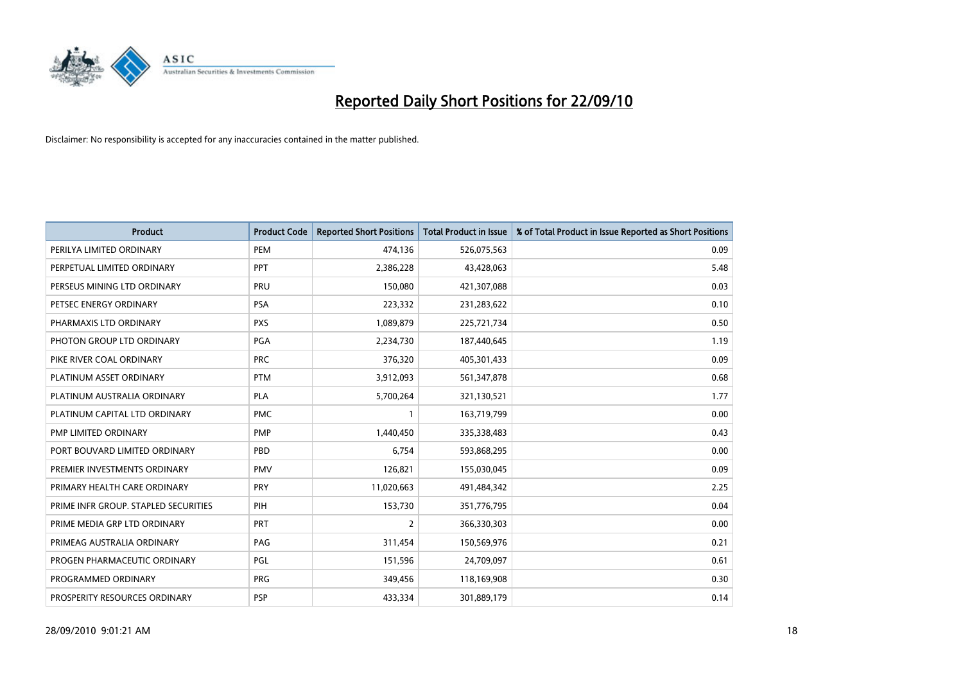

| <b>Product</b>                       | <b>Product Code</b> | <b>Reported Short Positions</b> | <b>Total Product in Issue</b> | % of Total Product in Issue Reported as Short Positions |
|--------------------------------------|---------------------|---------------------------------|-------------------------------|---------------------------------------------------------|
| PERILYA LIMITED ORDINARY             | PEM                 | 474,136                         | 526,075,563                   | 0.09                                                    |
| PERPETUAL LIMITED ORDINARY           | PPT                 | 2,386,228                       | 43,428,063                    | 5.48                                                    |
| PERSEUS MINING LTD ORDINARY          | PRU                 | 150.080                         | 421,307,088                   | 0.03                                                    |
| PETSEC ENERGY ORDINARY               | <b>PSA</b>          | 223,332                         | 231,283,622                   | 0.10                                                    |
| PHARMAXIS LTD ORDINARY               | <b>PXS</b>          | 1,089,879                       | 225,721,734                   | 0.50                                                    |
| PHOTON GROUP LTD ORDINARY            | <b>PGA</b>          | 2,234,730                       | 187,440,645                   | 1.19                                                    |
| PIKE RIVER COAL ORDINARY             | <b>PRC</b>          | 376,320                         | 405,301,433                   | 0.09                                                    |
| PLATINUM ASSET ORDINARY              | <b>PTM</b>          | 3,912,093                       | 561,347,878                   | 0.68                                                    |
| PLATINUM AUSTRALIA ORDINARY          | <b>PLA</b>          | 5,700,264                       | 321,130,521                   | 1.77                                                    |
| PLATINUM CAPITAL LTD ORDINARY        | <b>PMC</b>          |                                 | 163,719,799                   | 0.00                                                    |
| PMP LIMITED ORDINARY                 | <b>PMP</b>          | 1,440,450                       | 335,338,483                   | 0.43                                                    |
| PORT BOUVARD LIMITED ORDINARY        | PBD                 | 6,754                           | 593,868,295                   | 0.00                                                    |
| PREMIER INVESTMENTS ORDINARY         | <b>PMV</b>          | 126,821                         | 155,030,045                   | 0.09                                                    |
| PRIMARY HEALTH CARE ORDINARY         | <b>PRY</b>          | 11,020,663                      | 491,484,342                   | 2.25                                                    |
| PRIME INFR GROUP. STAPLED SECURITIES | PIH                 | 153,730                         | 351,776,795                   | 0.04                                                    |
| PRIME MEDIA GRP LTD ORDINARY         | <b>PRT</b>          | 2                               | 366,330,303                   | 0.00                                                    |
| PRIMEAG AUSTRALIA ORDINARY           | PAG                 | 311,454                         | 150,569,976                   | 0.21                                                    |
| PROGEN PHARMACEUTIC ORDINARY         | <b>PGL</b>          | 151,596                         | 24,709,097                    | 0.61                                                    |
| PROGRAMMED ORDINARY                  | <b>PRG</b>          | 349,456                         | 118,169,908                   | 0.30                                                    |
| PROSPERITY RESOURCES ORDINARY        | <b>PSP</b>          | 433,334                         | 301,889,179                   | 0.14                                                    |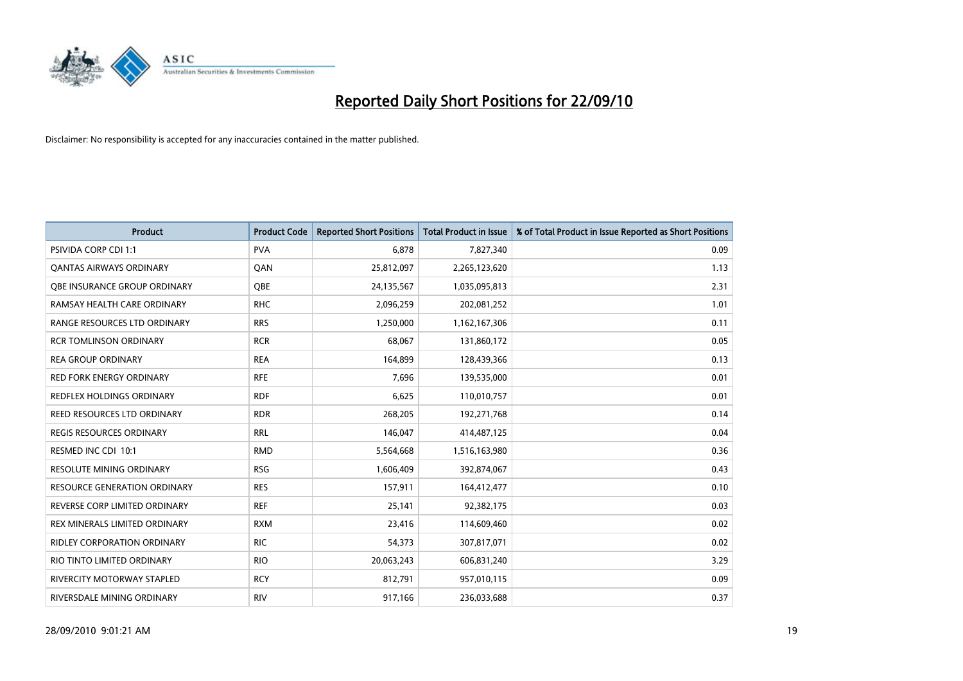

| <b>Product</b>                      | <b>Product Code</b> | <b>Reported Short Positions</b> | <b>Total Product in Issue</b> | % of Total Product in Issue Reported as Short Positions |
|-------------------------------------|---------------------|---------------------------------|-------------------------------|---------------------------------------------------------|
| <b>PSIVIDA CORP CDI 1:1</b>         | <b>PVA</b>          | 6,878                           | 7,827,340                     | 0.09                                                    |
| <b>QANTAS AIRWAYS ORDINARY</b>      | QAN                 | 25,812,097                      | 2,265,123,620                 | 1.13                                                    |
| OBE INSURANCE GROUP ORDINARY        | OBE                 | 24,135,567                      | 1,035,095,813                 | 2.31                                                    |
| RAMSAY HEALTH CARE ORDINARY         | <b>RHC</b>          | 2,096,259                       | 202,081,252                   | 1.01                                                    |
| RANGE RESOURCES LTD ORDINARY        | <b>RRS</b>          | 1,250,000                       | 1,162,167,306                 | 0.11                                                    |
| <b>RCR TOMLINSON ORDINARY</b>       | <b>RCR</b>          | 68,067                          | 131,860,172                   | 0.05                                                    |
| <b>REA GROUP ORDINARY</b>           | <b>REA</b>          | 164,899                         | 128,439,366                   | 0.13                                                    |
| <b>RED FORK ENERGY ORDINARY</b>     | <b>RFE</b>          | 7,696                           | 139,535,000                   | 0.01                                                    |
| REDFLEX HOLDINGS ORDINARY           | <b>RDF</b>          | 6,625                           | 110,010,757                   | 0.01                                                    |
| REED RESOURCES LTD ORDINARY         | <b>RDR</b>          | 268,205                         | 192,271,768                   | 0.14                                                    |
| <b>REGIS RESOURCES ORDINARY</b>     | <b>RRL</b>          | 146,047                         | 414,487,125                   | 0.04                                                    |
| RESMED INC CDI 10:1                 | <b>RMD</b>          | 5,564,668                       | 1,516,163,980                 | 0.36                                                    |
| <b>RESOLUTE MINING ORDINARY</b>     | <b>RSG</b>          | 1,606,409                       | 392,874,067                   | 0.43                                                    |
| <b>RESOURCE GENERATION ORDINARY</b> | <b>RES</b>          | 157,911                         | 164,412,477                   | 0.10                                                    |
| REVERSE CORP LIMITED ORDINARY       | <b>REF</b>          | 25,141                          | 92,382,175                    | 0.03                                                    |
| REX MINERALS LIMITED ORDINARY       | <b>RXM</b>          | 23,416                          | 114,609,460                   | 0.02                                                    |
| <b>RIDLEY CORPORATION ORDINARY</b>  | <b>RIC</b>          | 54,373                          | 307,817,071                   | 0.02                                                    |
| RIO TINTO LIMITED ORDINARY          | <b>RIO</b>          | 20,063,243                      | 606,831,240                   | 3.29                                                    |
| <b>RIVERCITY MOTORWAY STAPLED</b>   | <b>RCY</b>          | 812,791                         | 957,010,115                   | 0.09                                                    |
| RIVERSDALE MINING ORDINARY          | <b>RIV</b>          | 917,166                         | 236,033,688                   | 0.37                                                    |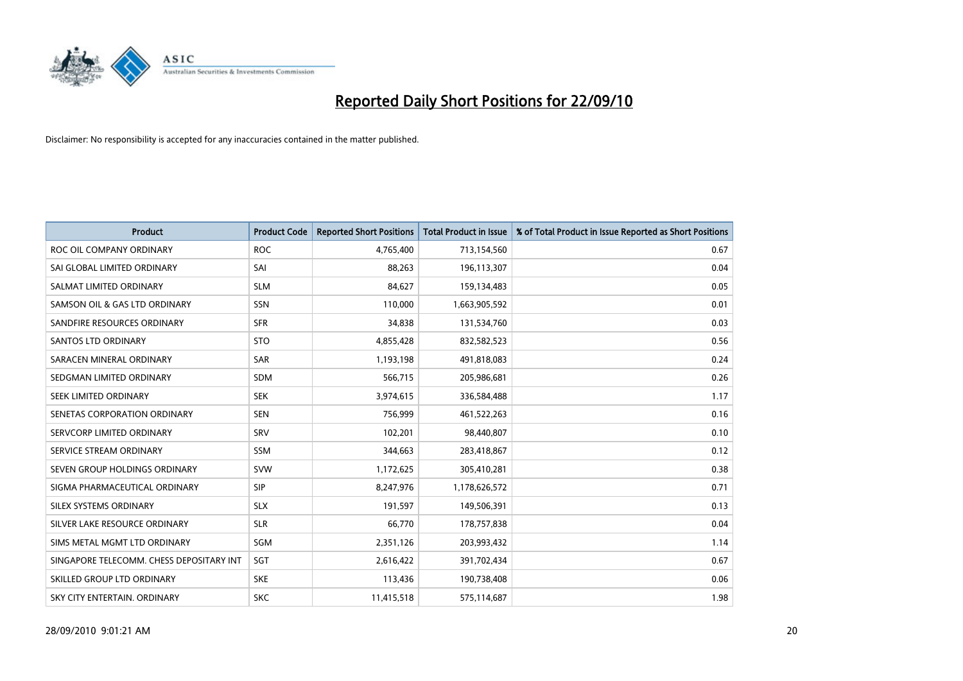

| <b>Product</b>                           | <b>Product Code</b> | <b>Reported Short Positions</b> | <b>Total Product in Issue</b> | % of Total Product in Issue Reported as Short Positions |
|------------------------------------------|---------------------|---------------------------------|-------------------------------|---------------------------------------------------------|
| ROC OIL COMPANY ORDINARY                 | <b>ROC</b>          | 4,765,400                       | 713,154,560                   | 0.67                                                    |
| SAI GLOBAL LIMITED ORDINARY              | SAI                 | 88,263                          | 196,113,307                   | 0.04                                                    |
| SALMAT LIMITED ORDINARY                  | <b>SLM</b>          | 84,627                          | 159,134,483                   | 0.05                                                    |
| SAMSON OIL & GAS LTD ORDINARY            | SSN                 | 110,000                         | 1,663,905,592                 | 0.01                                                    |
| SANDFIRE RESOURCES ORDINARY              | <b>SFR</b>          | 34,838                          | 131,534,760                   | 0.03                                                    |
| <b>SANTOS LTD ORDINARY</b>               | <b>STO</b>          | 4,855,428                       | 832,582,523                   | 0.56                                                    |
| SARACEN MINERAL ORDINARY                 | <b>SAR</b>          | 1,193,198                       | 491,818,083                   | 0.24                                                    |
| SEDGMAN LIMITED ORDINARY                 | <b>SDM</b>          | 566,715                         | 205,986,681                   | 0.26                                                    |
| SEEK LIMITED ORDINARY                    | <b>SEK</b>          | 3,974,615                       | 336,584,488                   | 1.17                                                    |
| SENETAS CORPORATION ORDINARY             | <b>SEN</b>          | 756,999                         | 461,522,263                   | 0.16                                                    |
| SERVCORP LIMITED ORDINARY                | SRV                 | 102,201                         | 98,440,807                    | 0.10                                                    |
| SERVICE STREAM ORDINARY                  | <b>SSM</b>          | 344,663                         | 283,418,867                   | 0.12                                                    |
| SEVEN GROUP HOLDINGS ORDINARY            | <b>SVW</b>          | 1,172,625                       | 305,410,281                   | 0.38                                                    |
| SIGMA PHARMACEUTICAL ORDINARY            | <b>SIP</b>          | 8,247,976                       | 1,178,626,572                 | 0.71                                                    |
| SILEX SYSTEMS ORDINARY                   | <b>SLX</b>          | 191,597                         | 149,506,391                   | 0.13                                                    |
| SILVER LAKE RESOURCE ORDINARY            | <b>SLR</b>          | 66,770                          | 178,757,838                   | 0.04                                                    |
| SIMS METAL MGMT LTD ORDINARY             | SGM                 | 2,351,126                       | 203,993,432                   | 1.14                                                    |
| SINGAPORE TELECOMM. CHESS DEPOSITARY INT | SGT                 | 2,616,422                       | 391,702,434                   | 0.67                                                    |
| SKILLED GROUP LTD ORDINARY               | <b>SKE</b>          | 113,436                         | 190,738,408                   | 0.06                                                    |
| SKY CITY ENTERTAIN, ORDINARY             | <b>SKC</b>          | 11,415,518                      | 575,114,687                   | 1.98                                                    |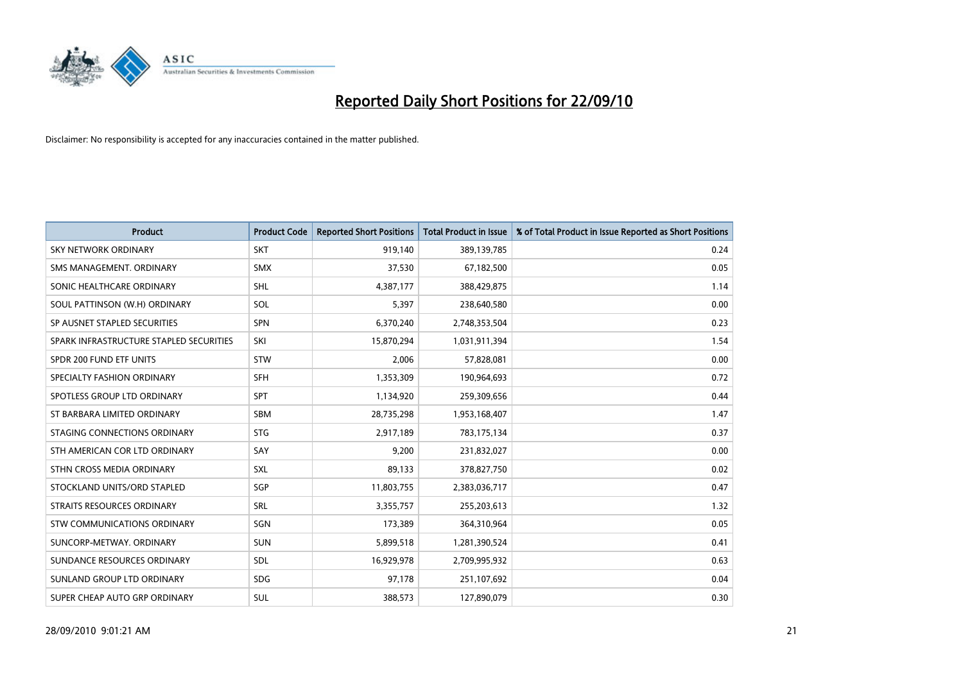

| <b>Product</b>                          | <b>Product Code</b> | <b>Reported Short Positions</b> | <b>Total Product in Issue</b> | % of Total Product in Issue Reported as Short Positions |
|-----------------------------------------|---------------------|---------------------------------|-------------------------------|---------------------------------------------------------|
| <b>SKY NETWORK ORDINARY</b>             | <b>SKT</b>          | 919,140                         | 389,139,785                   | 0.24                                                    |
| SMS MANAGEMENT, ORDINARY                | <b>SMX</b>          | 37,530                          | 67,182,500                    | 0.05                                                    |
| SONIC HEALTHCARE ORDINARY               | <b>SHL</b>          | 4,387,177                       | 388,429,875                   | 1.14                                                    |
| SOUL PATTINSON (W.H) ORDINARY           | SOL                 | 5,397                           | 238,640,580                   | 0.00                                                    |
| SP AUSNET STAPLED SECURITIES            | <b>SPN</b>          | 6,370,240                       | 2,748,353,504                 | 0.23                                                    |
| SPARK INFRASTRUCTURE STAPLED SECURITIES | SKI                 | 15,870,294                      | 1,031,911,394                 | 1.54                                                    |
| SPDR 200 FUND ETF UNITS                 | <b>STW</b>          | 2,006                           | 57,828,081                    | 0.00                                                    |
| SPECIALTY FASHION ORDINARY              | <b>SFH</b>          | 1,353,309                       | 190,964,693                   | 0.72                                                    |
| SPOTLESS GROUP LTD ORDINARY             | <b>SPT</b>          | 1,134,920                       | 259,309,656                   | 0.44                                                    |
| ST BARBARA LIMITED ORDINARY             | <b>SBM</b>          | 28,735,298                      | 1,953,168,407                 | 1.47                                                    |
| STAGING CONNECTIONS ORDINARY            | <b>STG</b>          | 2,917,189                       | 783,175,134                   | 0.37                                                    |
| STH AMERICAN COR LTD ORDINARY           | SAY                 | 9,200                           | 231,832,027                   | 0.00                                                    |
| STHN CROSS MEDIA ORDINARY               | SXL                 | 89,133                          | 378,827,750                   | 0.02                                                    |
| STOCKLAND UNITS/ORD STAPLED             | SGP                 | 11,803,755                      | 2,383,036,717                 | 0.47                                                    |
| STRAITS RESOURCES ORDINARY              | SRL                 | 3,355,757                       | 255,203,613                   | 1.32                                                    |
| STW COMMUNICATIONS ORDINARY             | SGN                 | 173,389                         | 364,310,964                   | 0.05                                                    |
| SUNCORP-METWAY, ORDINARY                | SUN                 | 5,899,518                       | 1,281,390,524                 | 0.41                                                    |
| SUNDANCE RESOURCES ORDINARY             | <b>SDL</b>          | 16,929,978                      | 2,709,995,932                 | 0.63                                                    |
| SUNLAND GROUP LTD ORDINARY              | <b>SDG</b>          | 97,178                          | 251,107,692                   | 0.04                                                    |
| SUPER CHEAP AUTO GRP ORDINARY           | SUL                 | 388,573                         | 127,890,079                   | 0.30                                                    |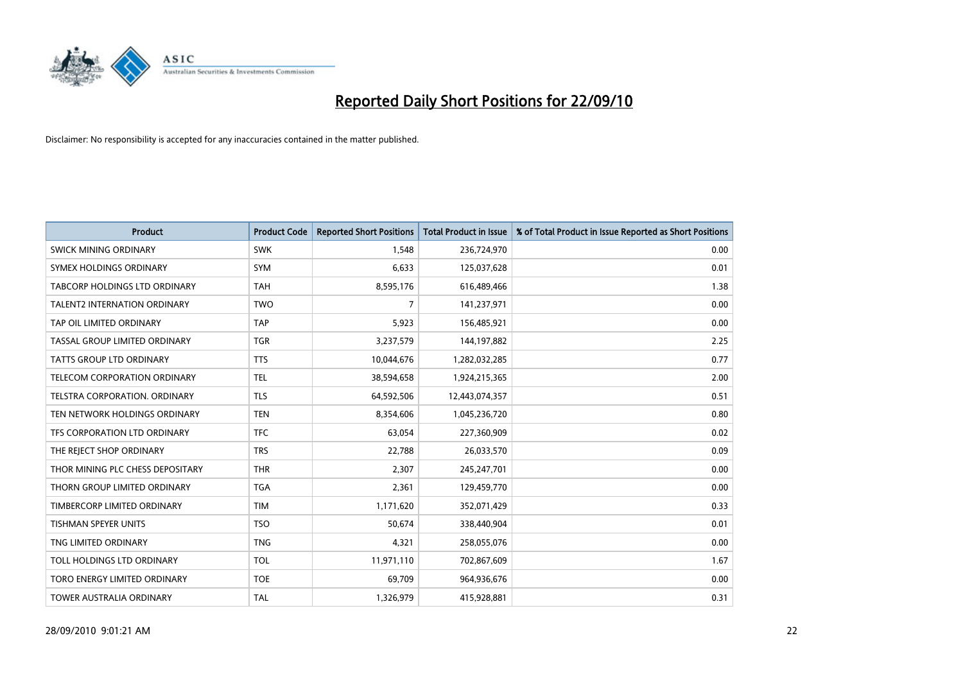

| <b>Product</b>                   | <b>Product Code</b> | <b>Reported Short Positions</b> | Total Product in Issue | % of Total Product in Issue Reported as Short Positions |
|----------------------------------|---------------------|---------------------------------|------------------------|---------------------------------------------------------|
| <b>SWICK MINING ORDINARY</b>     | <b>SWK</b>          | 1,548                           | 236,724,970            | 0.00                                                    |
| SYMEX HOLDINGS ORDINARY          | <b>SYM</b>          | 6,633                           | 125,037,628            | 0.01                                                    |
| TABCORP HOLDINGS LTD ORDINARY    | <b>TAH</b>          | 8,595,176                       | 616,489,466            | 1.38                                                    |
| TALENT2 INTERNATION ORDINARY     | <b>TWO</b>          | 7                               | 141,237,971            | 0.00                                                    |
| TAP OIL LIMITED ORDINARY         | <b>TAP</b>          | 5,923                           | 156,485,921            | 0.00                                                    |
| TASSAL GROUP LIMITED ORDINARY    | <b>TGR</b>          | 3,237,579                       | 144,197,882            | 2.25                                                    |
| TATTS GROUP LTD ORDINARY         | <b>TTS</b>          | 10,044,676                      | 1,282,032,285          | 0.77                                                    |
| TELECOM CORPORATION ORDINARY     | <b>TEL</b>          | 38,594,658                      | 1,924,215,365          | 2.00                                                    |
| TELSTRA CORPORATION, ORDINARY    | <b>TLS</b>          | 64,592,506                      | 12,443,074,357         | 0.51                                                    |
| TEN NETWORK HOLDINGS ORDINARY    | <b>TEN</b>          | 8,354,606                       | 1,045,236,720          | 0.80                                                    |
| TFS CORPORATION LTD ORDINARY     | <b>TFC</b>          | 63,054                          | 227,360,909            | 0.02                                                    |
| THE REJECT SHOP ORDINARY         | <b>TRS</b>          | 22,788                          | 26,033,570             | 0.09                                                    |
| THOR MINING PLC CHESS DEPOSITARY | <b>THR</b>          | 2,307                           | 245,247,701            | 0.00                                                    |
| THORN GROUP LIMITED ORDINARY     | <b>TGA</b>          | 2,361                           | 129,459,770            | 0.00                                                    |
| TIMBERCORP LIMITED ORDINARY      | <b>TIM</b>          | 1,171,620                       | 352,071,429            | 0.33                                                    |
| <b>TISHMAN SPEYER UNITS</b>      | <b>TSO</b>          | 50,674                          | 338,440,904            | 0.01                                                    |
| TNG LIMITED ORDINARY             | <b>TNG</b>          | 4,321                           | 258,055,076            | 0.00                                                    |
| TOLL HOLDINGS LTD ORDINARY       | <b>TOL</b>          | 11,971,110                      | 702,867,609            | 1.67                                                    |
| TORO ENERGY LIMITED ORDINARY     | <b>TOE</b>          | 69,709                          | 964,936,676            | 0.00                                                    |
| TOWER AUSTRALIA ORDINARY         | <b>TAL</b>          | 1,326,979                       | 415,928,881            | 0.31                                                    |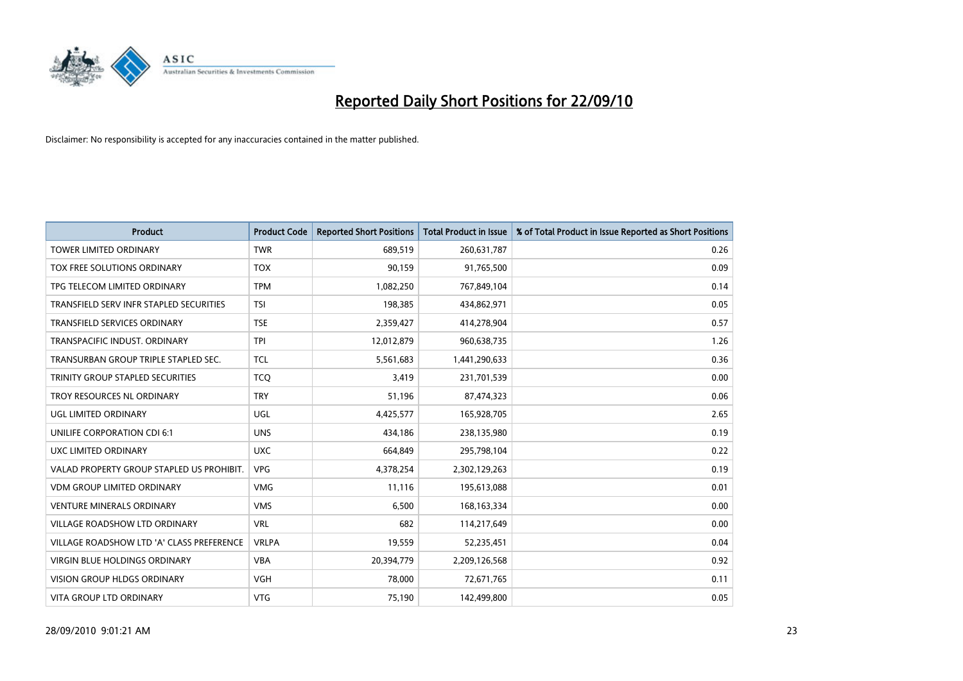

| <b>Product</b>                            | <b>Product Code</b> | <b>Reported Short Positions</b> | <b>Total Product in Issue</b> | % of Total Product in Issue Reported as Short Positions |
|-------------------------------------------|---------------------|---------------------------------|-------------------------------|---------------------------------------------------------|
| <b>TOWER LIMITED ORDINARY</b>             | <b>TWR</b>          | 689.519                         | 260,631,787                   | 0.26                                                    |
| TOX FREE SOLUTIONS ORDINARY               | <b>TOX</b>          | 90,159                          | 91,765,500                    | 0.09                                                    |
| TPG TELECOM LIMITED ORDINARY              | <b>TPM</b>          | 1,082,250                       | 767,849,104                   | 0.14                                                    |
| TRANSFIELD SERV INFR STAPLED SECURITIES   | <b>TSI</b>          | 198,385                         | 434,862,971                   | 0.05                                                    |
| <b>TRANSFIELD SERVICES ORDINARY</b>       | <b>TSE</b>          | 2,359,427                       | 414,278,904                   | 0.57                                                    |
| TRANSPACIFIC INDUST. ORDINARY             | <b>TPI</b>          | 12,012,879                      | 960,638,735                   | 1.26                                                    |
| TRANSURBAN GROUP TRIPLE STAPLED SEC.      | <b>TCL</b>          | 5,561,683                       | 1,441,290,633                 | 0.36                                                    |
| TRINITY GROUP STAPLED SECURITIES          | <b>TCQ</b>          | 3,419                           | 231,701,539                   | 0.00                                                    |
| TROY RESOURCES NL ORDINARY                | <b>TRY</b>          | 51,196                          | 87,474,323                    | 0.06                                                    |
| <b>UGL LIMITED ORDINARY</b>               | <b>UGL</b>          | 4,425,577                       | 165,928,705                   | 2.65                                                    |
| UNILIFE CORPORATION CDI 6:1               | <b>UNS</b>          | 434.186                         | 238,135,980                   | 0.19                                                    |
| UXC LIMITED ORDINARY                      | <b>UXC</b>          | 664,849                         | 295,798,104                   | 0.22                                                    |
| VALAD PROPERTY GROUP STAPLED US PROHIBIT. | <b>VPG</b>          | 4,378,254                       | 2,302,129,263                 | 0.19                                                    |
| <b>VDM GROUP LIMITED ORDINARY</b>         | <b>VMG</b>          | 11,116                          | 195,613,088                   | 0.01                                                    |
| <b>VENTURE MINERALS ORDINARY</b>          | <b>VMS</b>          | 6,500                           | 168, 163, 334                 | 0.00                                                    |
| VILLAGE ROADSHOW LTD ORDINARY             | <b>VRL</b>          | 682                             | 114,217,649                   | 0.00                                                    |
| VILLAGE ROADSHOW LTD 'A' CLASS PREFERENCE | <b>VRLPA</b>        | 19,559                          | 52,235,451                    | 0.04                                                    |
| VIRGIN BLUE HOLDINGS ORDINARY             | <b>VBA</b>          | 20,394,779                      | 2,209,126,568                 | 0.92                                                    |
| <b>VISION GROUP HLDGS ORDINARY</b>        | <b>VGH</b>          | 78.000                          | 72,671,765                    | 0.11                                                    |
| <b>VITA GROUP LTD ORDINARY</b>            | <b>VTG</b>          | 75,190                          | 142.499.800                   | 0.05                                                    |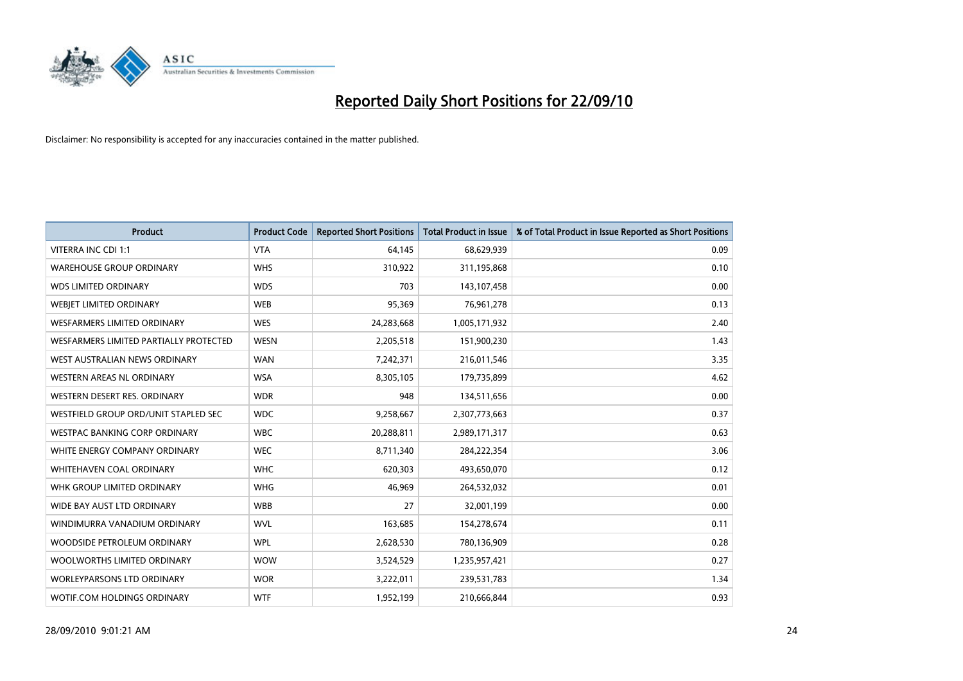

| <b>Product</b>                         | <b>Product Code</b> | <b>Reported Short Positions</b> | <b>Total Product in Issue</b> | % of Total Product in Issue Reported as Short Positions |
|----------------------------------------|---------------------|---------------------------------|-------------------------------|---------------------------------------------------------|
| <b>VITERRA INC CDI 1:1</b>             | <b>VTA</b>          | 64,145                          | 68,629,939                    | 0.09                                                    |
| <b>WAREHOUSE GROUP ORDINARY</b>        | <b>WHS</b>          | 310,922                         | 311,195,868                   | 0.10                                                    |
| <b>WDS LIMITED ORDINARY</b>            | <b>WDS</b>          | 703                             | 143,107,458                   | 0.00                                                    |
| WEBJET LIMITED ORDINARY                | <b>WEB</b>          | 95,369                          | 76,961,278                    | 0.13                                                    |
| <b>WESFARMERS LIMITED ORDINARY</b>     | <b>WES</b>          | 24,283,668                      | 1,005,171,932                 | 2.40                                                    |
| WESFARMERS LIMITED PARTIALLY PROTECTED | <b>WESN</b>         | 2,205,518                       | 151,900,230                   | 1.43                                                    |
| WEST AUSTRALIAN NEWS ORDINARY          | <b>WAN</b>          | 7,242,371                       | 216,011,546                   | 3.35                                                    |
| <b>WESTERN AREAS NL ORDINARY</b>       | <b>WSA</b>          | 8,305,105                       | 179,735,899                   | 4.62                                                    |
| WESTERN DESERT RES. ORDINARY           | <b>WDR</b>          | 948                             | 134,511,656                   | 0.00                                                    |
| WESTFIELD GROUP ORD/UNIT STAPLED SEC   | <b>WDC</b>          | 9,258,667                       | 2,307,773,663                 | 0.37                                                    |
| WESTPAC BANKING CORP ORDINARY          | <b>WBC</b>          | 20,288,811                      | 2,989,171,317                 | 0.63                                                    |
| WHITE ENERGY COMPANY ORDINARY          | <b>WEC</b>          | 8,711,340                       | 284,222,354                   | 3.06                                                    |
| WHITEHAVEN COAL ORDINARY               | <b>WHC</b>          | 620,303                         | 493,650,070                   | 0.12                                                    |
| WHK GROUP LIMITED ORDINARY             | <b>WHG</b>          | 46,969                          | 264,532,032                   | 0.01                                                    |
| WIDE BAY AUST LTD ORDINARY             | <b>WBB</b>          | 27                              | 32,001,199                    | 0.00                                                    |
| WINDIMURRA VANADIUM ORDINARY           | <b>WVL</b>          | 163,685                         | 154,278,674                   | 0.11                                                    |
| WOODSIDE PETROLEUM ORDINARY            | <b>WPL</b>          | 2,628,530                       | 780,136,909                   | 0.28                                                    |
| WOOLWORTHS LIMITED ORDINARY            | <b>WOW</b>          | 3,524,529                       | 1,235,957,421                 | 0.27                                                    |
| <b>WORLEYPARSONS LTD ORDINARY</b>      | <b>WOR</b>          | 3,222,011                       | 239,531,783                   | 1.34                                                    |
| WOTIF.COM HOLDINGS ORDINARY            | <b>WTF</b>          | 1,952,199                       | 210,666,844                   | 0.93                                                    |